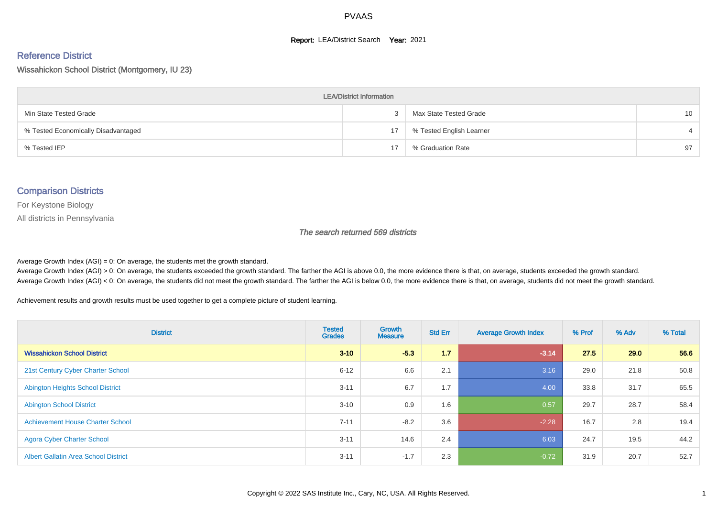#### **Report: LEA/District Search Year: 2021**

#### Reference District

Wissahickon School District (Montgomery, IU 23)

| <b>LEA/District Information</b>     |    |                          |                 |  |  |  |  |  |  |
|-------------------------------------|----|--------------------------|-----------------|--|--|--|--|--|--|
| Min State Tested Grade              |    | Max State Tested Grade   | 10 <sup>1</sup> |  |  |  |  |  |  |
| % Tested Economically Disadvantaged | 17 | % Tested English Learner |                 |  |  |  |  |  |  |
| % Tested IEP                        | 17 | % Graduation Rate        | 97              |  |  |  |  |  |  |

#### Comparison Districts

For Keystone Biology

All districts in Pennsylvania

The search returned 569 districts

Average Growth Index  $(AGI) = 0$ : On average, the students met the growth standard.

Average Growth Index (AGI) > 0: On average, the students exceeded the growth standard. The farther the AGI is above 0.0, the more evidence there is that, on average, students exceeded the growth standard. Average Growth Index (AGI) < 0: On average, the students did not meet the growth standard. The farther the AGI is below 0.0, the more evidence there is that, on average, students did not meet the growth standard.

Achievement results and growth results must be used together to get a complete picture of student learning.

| <b>District</b>                             | <b>Tested</b><br><b>Grades</b> | <b>Growth</b><br><b>Measure</b> | <b>Std Err</b> | <b>Average Growth Index</b> | % Prof | % Adv | % Total |
|---------------------------------------------|--------------------------------|---------------------------------|----------------|-----------------------------|--------|-------|---------|
| <b>Wissahickon School District</b>          | $3 - 10$                       | $-5.3$                          | 1.7            | $-3.14$                     | 27.5   | 29.0  | 56.6    |
| 21st Century Cyber Charter School           | $6 - 12$                       | 6.6                             | 2.1            | 3.16                        | 29.0   | 21.8  | 50.8    |
| <b>Abington Heights School District</b>     | $3 - 11$                       | 6.7                             | 1.7            | 4.00                        | 33.8   | 31.7  | 65.5    |
| <b>Abington School District</b>             | $3 - 10$                       | 0.9                             | 1.6            | 0.57                        | 29.7   | 28.7  | 58.4    |
| <b>Achievement House Charter School</b>     | $7 - 11$                       | $-8.2$                          | 3.6            | $-2.28$                     | 16.7   | 2.8   | 19.4    |
| <b>Agora Cyber Charter School</b>           | $3 - 11$                       | 14.6                            | 2.4            | 6.03                        | 24.7   | 19.5  | 44.2    |
| <b>Albert Gallatin Area School District</b> | $3 - 11$                       | $-1.7$                          | 2.3            | $-0.72$                     | 31.9   | 20.7  | 52.7    |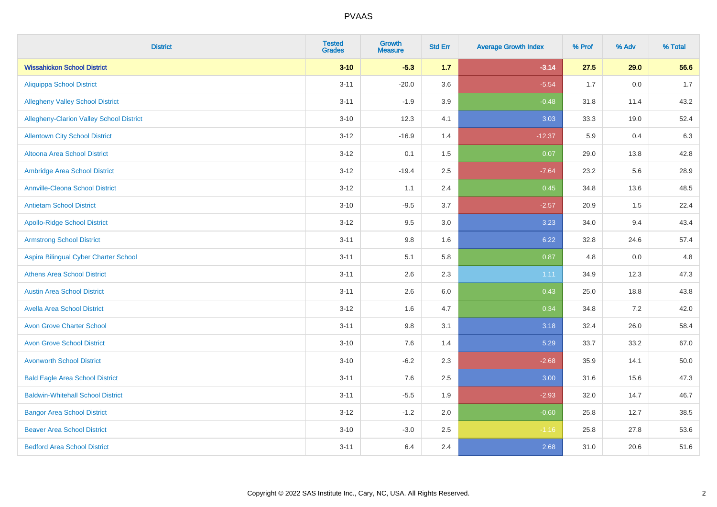| <b>District</b>                          | <b>Tested</b><br><b>Grades</b> | Growth<br><b>Measure</b> | <b>Std Err</b> | <b>Average Growth Index</b> | % Prof | % Adv   | % Total |
|------------------------------------------|--------------------------------|--------------------------|----------------|-----------------------------|--------|---------|---------|
| <b>Wissahickon School District</b>       | $3 - 10$                       | $-5.3$                   | 1.7            | $-3.14$                     | 27.5   | 29.0    | 56.6    |
| <b>Aliquippa School District</b>         | $3 - 11$                       | $-20.0$                  | 3.6            | $-5.54$                     | 1.7    | $0.0\,$ | $1.7$   |
| <b>Allegheny Valley School District</b>  | $3 - 11$                       | $-1.9$                   | 3.9            | $-0.48$                     | 31.8   | 11.4    | 43.2    |
| Allegheny-Clarion Valley School District | $3 - 10$                       | 12.3                     | 4.1            | 3.03                        | 33.3   | 19.0    | 52.4    |
| <b>Allentown City School District</b>    | $3 - 12$                       | $-16.9$                  | 1.4            | $-12.37$                    | 5.9    | 0.4     | 6.3     |
| <b>Altoona Area School District</b>      | $3 - 12$                       | 0.1                      | 1.5            | 0.07                        | 29.0   | 13.8    | 42.8    |
| Ambridge Area School District            | $3 - 12$                       | $-19.4$                  | 2.5            | $-7.64$                     | 23.2   | 5.6     | 28.9    |
| <b>Annville-Cleona School District</b>   | $3 - 12$                       | 1.1                      | 2.4            | 0.45                        | 34.8   | 13.6    | 48.5    |
| <b>Antietam School District</b>          | $3 - 10$                       | $-9.5$                   | 3.7            | $-2.57$                     | 20.9   | 1.5     | 22.4    |
| <b>Apollo-Ridge School District</b>      | $3 - 12$                       | 9.5                      | 3.0            | 3.23                        | 34.0   | 9.4     | 43.4    |
| <b>Armstrong School District</b>         | $3 - 11$                       | 9.8                      | 1.6            | 6.22                        | 32.8   | 24.6    | 57.4    |
| Aspira Bilingual Cyber Charter School    | $3 - 11$                       | 5.1                      | 5.8            | 0.87                        | 4.8    | 0.0     | 4.8     |
| <b>Athens Area School District</b>       | $3 - 11$                       | 2.6                      | 2.3            | 1.11                        | 34.9   | 12.3    | 47.3    |
| <b>Austin Area School District</b>       | $3 - 11$                       | 2.6                      | 6.0            | 0.43                        | 25.0   | 18.8    | 43.8    |
| <b>Avella Area School District</b>       | $3 - 12$                       | 1.6                      | 4.7            | 0.34                        | 34.8   | 7.2     | 42.0    |
| <b>Avon Grove Charter School</b>         | $3 - 11$                       | 9.8                      | 3.1            | 3.18                        | 32.4   | 26.0    | 58.4    |
| <b>Avon Grove School District</b>        | $3 - 10$                       | 7.6                      | 1.4            | 5.29                        | 33.7   | 33.2    | 67.0    |
| <b>Avonworth School District</b>         | $3 - 10$                       | $-6.2$                   | 2.3            | $-2.68$                     | 35.9   | 14.1    | 50.0    |
| <b>Bald Eagle Area School District</b>   | $3 - 11$                       | 7.6                      | 2.5            | 3.00                        | 31.6   | 15.6    | 47.3    |
| <b>Baldwin-Whitehall School District</b> | $3 - 11$                       | $-5.5$                   | 1.9            | $-2.93$                     | 32.0   | 14.7    | 46.7    |
| <b>Bangor Area School District</b>       | $3 - 12$                       | $-1.2$                   | 2.0            | $-0.60$                     | 25.8   | 12.7    | 38.5    |
| <b>Beaver Area School District</b>       | $3 - 10$                       | $-3.0$                   | 2.5            | $-1.16$                     | 25.8   | 27.8    | 53.6    |
| <b>Bedford Area School District</b>      | $3 - 11$                       | 6.4                      | 2.4            | 2.68                        | 31.0   | 20.6    | 51.6    |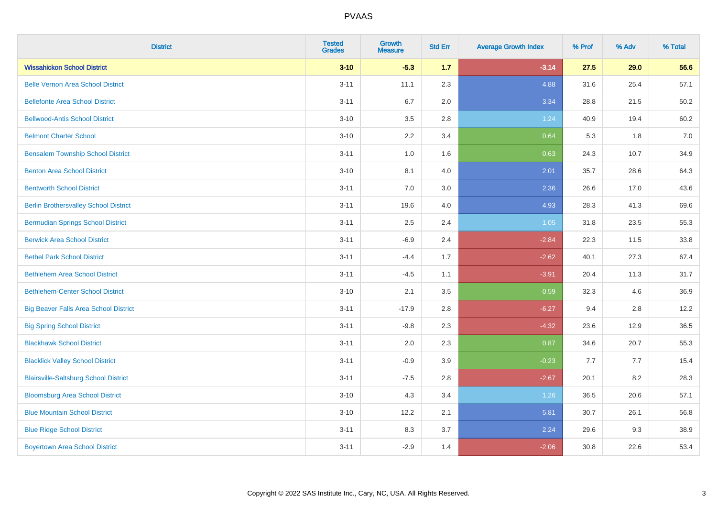| <b>District</b>                              | <b>Tested</b><br><b>Grades</b> | <b>Growth</b><br><b>Measure</b> | <b>Std Err</b> | <b>Average Growth Index</b> | % Prof | % Adv | % Total |
|----------------------------------------------|--------------------------------|---------------------------------|----------------|-----------------------------|--------|-------|---------|
| <b>Wissahickon School District</b>           | $3 - 10$                       | $-5.3$                          | 1.7            | $-3.14$                     | 27.5   | 29.0  | 56.6    |
| <b>Belle Vernon Area School District</b>     | $3 - 11$                       | 11.1                            | 2.3            | 4.88                        | 31.6   | 25.4  | 57.1    |
| <b>Bellefonte Area School District</b>       | $3 - 11$                       | 6.7                             | 2.0            | 3.34                        | 28.8   | 21.5  | 50.2    |
| <b>Bellwood-Antis School District</b>        | $3 - 10$                       | 3.5                             | 2.8            | 1.24                        | 40.9   | 19.4  | 60.2    |
| <b>Belmont Charter School</b>                | $3 - 10$                       | 2.2                             | 3.4            | 0.64                        | 5.3    | 1.8   | 7.0     |
| <b>Bensalem Township School District</b>     | $3 - 11$                       | $1.0\,$                         | 1.6            | 0.63                        | 24.3   | 10.7  | 34.9    |
| <b>Benton Area School District</b>           | $3 - 10$                       | 8.1                             | 4.0            | 2.01                        | 35.7   | 28.6  | 64.3    |
| <b>Bentworth School District</b>             | $3 - 11$                       | 7.0                             | 3.0            | 2.36                        | 26.6   | 17.0  | 43.6    |
| <b>Berlin Brothersvalley School District</b> | $3 - 11$                       | 19.6                            | 4.0            | 4.93                        | 28.3   | 41.3  | 69.6    |
| <b>Bermudian Springs School District</b>     | $3 - 11$                       | 2.5                             | 2.4            | 1.05                        | 31.8   | 23.5  | 55.3    |
| <b>Berwick Area School District</b>          | $3 - 11$                       | $-6.9$                          | 2.4            | $-2.84$                     | 22.3   | 11.5  | 33.8    |
| <b>Bethel Park School District</b>           | $3 - 11$                       | $-4.4$                          | 1.7            | $-2.62$                     | 40.1   | 27.3  | 67.4    |
| <b>Bethlehem Area School District</b>        | $3 - 11$                       | $-4.5$                          | 1.1            | $-3.91$                     | 20.4   | 11.3  | 31.7    |
| <b>Bethlehem-Center School District</b>      | $3 - 10$                       | 2.1                             | 3.5            | 0.59                        | 32.3   | 4.6   | 36.9    |
| <b>Big Beaver Falls Area School District</b> | $3 - 11$                       | $-17.9$                         | 2.8            | $-6.27$                     | 9.4    | 2.8   | 12.2    |
| <b>Big Spring School District</b>            | $3 - 11$                       | $-9.8$                          | 2.3            | $-4.32$                     | 23.6   | 12.9  | 36.5    |
| <b>Blackhawk School District</b>             | $3 - 11$                       | 2.0                             | 2.3            | 0.87                        | 34.6   | 20.7  | 55.3    |
| <b>Blacklick Valley School District</b>      | $3 - 11$                       | $-0.9$                          | 3.9            | $-0.23$                     | 7.7    | 7.7   | 15.4    |
| <b>Blairsville-Saltsburg School District</b> | $3 - 11$                       | $-7.5$                          | 2.8            | $-2.67$                     | 20.1   | 8.2   | 28.3    |
| <b>Bloomsburg Area School District</b>       | $3 - 10$                       | 4.3                             | 3.4            | 1.26                        | 36.5   | 20.6  | 57.1    |
| <b>Blue Mountain School District</b>         | $3 - 10$                       | 12.2                            | 2.1            | 5.81                        | 30.7   | 26.1  | 56.8    |
| <b>Blue Ridge School District</b>            | $3 - 11$                       | 8.3                             | 3.7            | 2.24                        | 29.6   | 9.3   | 38.9    |
| <b>Boyertown Area School District</b>        | $3 - 11$                       | $-2.9$                          | 1.4            | $-2.06$                     | 30.8   | 22.6  | 53.4    |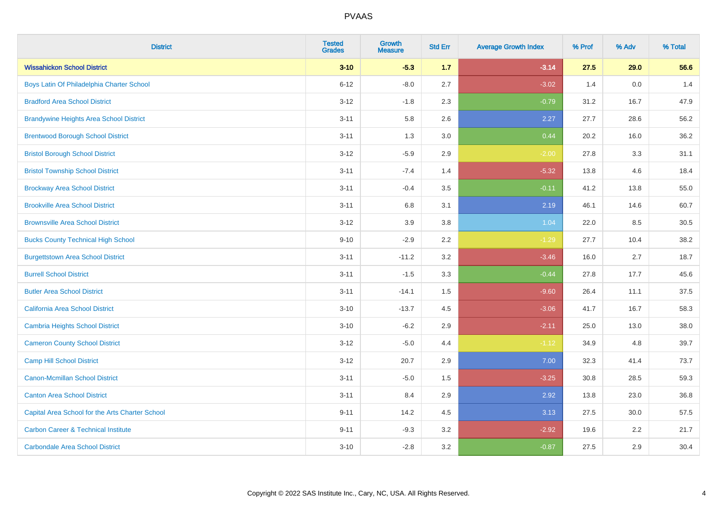| <b>District</b>                                 | <b>Tested</b><br><b>Grades</b> | <b>Growth</b><br><b>Measure</b> | <b>Std Err</b> | <b>Average Growth Index</b> | % Prof | % Adv   | % Total |
|-------------------------------------------------|--------------------------------|---------------------------------|----------------|-----------------------------|--------|---------|---------|
| <b>Wissahickon School District</b>              | $3 - 10$                       | $-5.3$                          | 1.7            | $-3.14$                     | 27.5   | 29.0    | 56.6    |
| Boys Latin Of Philadelphia Charter School       | $6 - 12$                       | $-8.0$                          | 2.7            | $-3.02$                     | 1.4    | $0.0\,$ | 1.4     |
| <b>Bradford Area School District</b>            | $3 - 12$                       | $-1.8$                          | 2.3            | $-0.79$                     | 31.2   | 16.7    | 47.9    |
| <b>Brandywine Heights Area School District</b>  | $3 - 11$                       | 5.8                             | 2.6            | 2.27                        | 27.7   | 28.6    | 56.2    |
| <b>Brentwood Borough School District</b>        | $3 - 11$                       | 1.3                             | 3.0            | 0.44                        | 20.2   | 16.0    | 36.2    |
| <b>Bristol Borough School District</b>          | $3 - 12$                       | $-5.9$                          | 2.9            | $-2.00$                     | 27.8   | 3.3     | 31.1    |
| <b>Bristol Township School District</b>         | $3 - 11$                       | $-7.4$                          | 1.4            | $-5.32$                     | 13.8   | 4.6     | 18.4    |
| <b>Brockway Area School District</b>            | $3 - 11$                       | $-0.4$                          | 3.5            | $-0.11$                     | 41.2   | 13.8    | 55.0    |
| <b>Brookville Area School District</b>          | $3 - 11$                       | 6.8                             | 3.1            | 2.19                        | 46.1   | 14.6    | 60.7    |
| <b>Brownsville Area School District</b>         | $3 - 12$                       | 3.9                             | 3.8            | 1.04                        | 22.0   | 8.5     | 30.5    |
| <b>Bucks County Technical High School</b>       | $9 - 10$                       | $-2.9$                          | 2.2            | $-1.29$                     | 27.7   | 10.4    | 38.2    |
| <b>Burgettstown Area School District</b>        | $3 - 11$                       | $-11.2$                         | 3.2            | $-3.46$                     | 16.0   | 2.7     | 18.7    |
| <b>Burrell School District</b>                  | $3 - 11$                       | $-1.5$                          | 3.3            | $-0.44$                     | 27.8   | 17.7    | 45.6    |
| <b>Butler Area School District</b>              | $3 - 11$                       | $-14.1$                         | $1.5\,$        | $-9.60$                     | 26.4   | 11.1    | 37.5    |
| California Area School District                 | $3 - 10$                       | $-13.7$                         | 4.5            | $-3.06$                     | 41.7   | 16.7    | 58.3    |
| <b>Cambria Heights School District</b>          | $3 - 10$                       | $-6.2$                          | 2.9            | $-2.11$                     | 25.0   | 13.0    | 38.0    |
| <b>Cameron County School District</b>           | $3 - 12$                       | $-5.0$                          | 4.4            | $-1.12$                     | 34.9   | 4.8     | 39.7    |
| <b>Camp Hill School District</b>                | $3 - 12$                       | 20.7                            | 2.9            | 7.00                        | 32.3   | 41.4    | 73.7    |
| <b>Canon-Mcmillan School District</b>           | $3 - 11$                       | $-5.0$                          | $1.5\,$        | $-3.25$                     | 30.8   | 28.5    | 59.3    |
| <b>Canton Area School District</b>              | $3 - 11$                       | 8.4                             | 2.9            | 2.92                        | 13.8   | 23.0    | 36.8    |
| Capital Area School for the Arts Charter School | $9 - 11$                       | 14.2                            | 4.5            | 3.13                        | 27.5   | 30.0    | 57.5    |
| <b>Carbon Career &amp; Technical Institute</b>  | $9 - 11$                       | $-9.3$                          | 3.2            | $-2.92$                     | 19.6   | 2.2     | 21.7    |
| <b>Carbondale Area School District</b>          | $3 - 10$                       | $-2.8$                          | 3.2            | $-0.87$                     | 27.5   | 2.9     | 30.4    |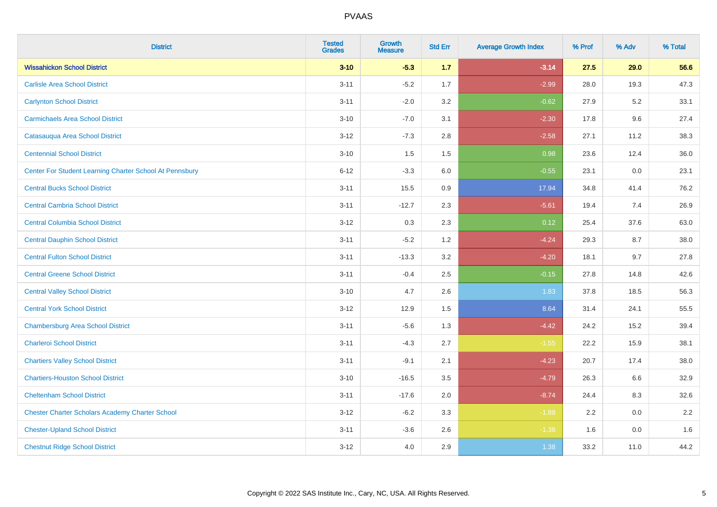| <b>District</b>                                         | <b>Tested</b><br><b>Grades</b> | <b>Growth</b><br><b>Measure</b> | <b>Std Err</b> | <b>Average Growth Index</b> | % Prof | % Adv   | % Total |
|---------------------------------------------------------|--------------------------------|---------------------------------|----------------|-----------------------------|--------|---------|---------|
| <b>Wissahickon School District</b>                      | $3 - 10$                       | $-5.3$                          | $1.7$          | $-3.14$                     | 27.5   | 29.0    | 56.6    |
| <b>Carlisle Area School District</b>                    | $3 - 11$                       | $-5.2$                          | 1.7            | $-2.99$                     | 28.0   | 19.3    | 47.3    |
| <b>Carlynton School District</b>                        | $3 - 11$                       | $-2.0$                          | 3.2            | $-0.62$                     | 27.9   | $5.2\,$ | 33.1    |
| <b>Carmichaels Area School District</b>                 | $3 - 10$                       | $-7.0$                          | 3.1            | $-2.30$                     | 17.8   | 9.6     | 27.4    |
| Catasauqua Area School District                         | $3-12$                         | $-7.3$                          | 2.8            | $-2.58$                     | 27.1   | 11.2    | 38.3    |
| <b>Centennial School District</b>                       | $3 - 10$                       | 1.5                             | 1.5            | 0.98                        | 23.6   | 12.4    | 36.0    |
| Center For Student Learning Charter School At Pennsbury | $6 - 12$                       | $-3.3$                          | 6.0            | $-0.55$                     | 23.1   | 0.0     | 23.1    |
| <b>Central Bucks School District</b>                    | $3 - 11$                       | 15.5                            | 0.9            | 17.94                       | 34.8   | 41.4    | 76.2    |
| <b>Central Cambria School District</b>                  | $3 - 11$                       | $-12.7$                         | 2.3            | $-5.61$                     | 19.4   | 7.4     | 26.9    |
| <b>Central Columbia School District</b>                 | $3 - 12$                       | 0.3                             | 2.3            | 0.12                        | 25.4   | 37.6    | 63.0    |
| <b>Central Dauphin School District</b>                  | $3 - 11$                       | $-5.2$                          | 1.2            | $-4.24$                     | 29.3   | 8.7     | 38.0    |
| <b>Central Fulton School District</b>                   | $3 - 11$                       | $-13.3$                         | 3.2            | $-4.20$                     | 18.1   | 9.7     | 27.8    |
| <b>Central Greene School District</b>                   | $3 - 11$                       | $-0.4$                          | 2.5            | $-0.15$                     | 27.8   | 14.8    | 42.6    |
| <b>Central Valley School District</b>                   | $3 - 10$                       | 4.7                             | 2.6            | 1.83                        | 37.8   | 18.5    | 56.3    |
| <b>Central York School District</b>                     | $3 - 12$                       | 12.9                            | 1.5            | 8.64                        | 31.4   | 24.1    | 55.5    |
| <b>Chambersburg Area School District</b>                | $3 - 11$                       | $-5.6$                          | 1.3            | $-4.42$                     | 24.2   | 15.2    | 39.4    |
| <b>Charleroi School District</b>                        | $3 - 11$                       | $-4.3$                          | 2.7            | $-1.55$                     | 22.2   | 15.9    | 38.1    |
| <b>Chartiers Valley School District</b>                 | $3 - 11$                       | $-9.1$                          | 2.1            | $-4.23$                     | 20.7   | 17.4    | 38.0    |
| <b>Chartiers-Houston School District</b>                | $3 - 10$                       | $-16.5$                         | 3.5            | $-4.79$                     | 26.3   | 6.6     | 32.9    |
| <b>Cheltenham School District</b>                       | $3 - 11$                       | $-17.6$                         | 2.0            | $-8.74$                     | 24.4   | 8.3     | 32.6    |
| <b>Chester Charter Scholars Academy Charter School</b>  | $3 - 12$                       | $-6.2$                          | 3.3            | $-1.88$                     | 2.2    | 0.0     | 2.2     |
| <b>Chester-Upland School District</b>                   | $3 - 11$                       | $-3.6$                          | 2.6            | $-1.38$                     | 1.6    | 0.0     | 1.6     |
| <b>Chestnut Ridge School District</b>                   | $3 - 12$                       | 4.0                             | 2.9            | 1.38                        | 33.2   | 11.0    | 44.2    |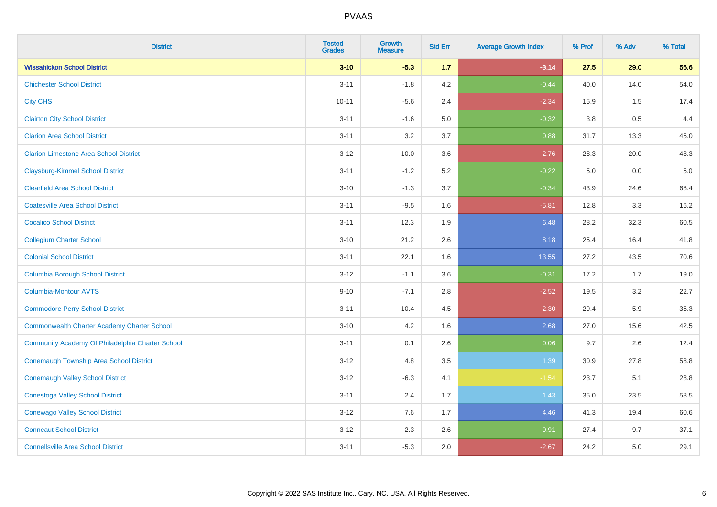| <b>District</b>                                    | <b>Tested</b><br><b>Grades</b> | <b>Growth</b><br><b>Measure</b> | <b>Std Err</b> | <b>Average Growth Index</b> | % Prof  | % Adv | % Total |
|----------------------------------------------------|--------------------------------|---------------------------------|----------------|-----------------------------|---------|-------|---------|
| <b>Wissahickon School District</b>                 | $3 - 10$                       | $-5.3$                          | 1.7            | $-3.14$                     | 27.5    | 29.0  | 56.6    |
| <b>Chichester School District</b>                  | $3 - 11$                       | $-1.8$                          | 4.2            | $-0.44$                     | 40.0    | 14.0  | 54.0    |
| <b>City CHS</b>                                    | $10 - 11$                      | $-5.6$                          | 2.4            | $-2.34$                     | 15.9    | 1.5   | 17.4    |
| <b>Clairton City School District</b>               | $3 - 11$                       | $-1.6$                          | 5.0            | $-0.32$                     | $3.8\,$ | 0.5   | 4.4     |
| <b>Clarion Area School District</b>                | $3 - 11$                       | 3.2                             | 3.7            | 0.88                        | 31.7    | 13.3  | 45.0    |
| <b>Clarion-Limestone Area School District</b>      | $3 - 12$                       | $-10.0$                         | 3.6            | $-2.76$                     | 28.3    | 20.0  | 48.3    |
| <b>Claysburg-Kimmel School District</b>            | $3 - 11$                       | $-1.2$                          | 5.2            | $-0.22$                     | 5.0     | 0.0   | 5.0     |
| <b>Clearfield Area School District</b>             | $3 - 10$                       | $-1.3$                          | 3.7            | $-0.34$                     | 43.9    | 24.6  | 68.4    |
| <b>Coatesville Area School District</b>            | $3 - 11$                       | $-9.5$                          | 1.6            | $-5.81$                     | 12.8    | 3.3   | 16.2    |
| <b>Cocalico School District</b>                    | $3 - 11$                       | 12.3                            | 1.9            | 6.48                        | 28.2    | 32.3  | 60.5    |
| <b>Collegium Charter School</b>                    | $3 - 10$                       | 21.2                            | 2.6            | 8.18                        | 25.4    | 16.4  | 41.8    |
| <b>Colonial School District</b>                    | $3 - 11$                       | 22.1                            | 1.6            | 13.55                       | 27.2    | 43.5  | 70.6    |
| <b>Columbia Borough School District</b>            | $3 - 12$                       | $-1.1$                          | 3.6            | $-0.31$                     | 17.2    | 1.7   | 19.0    |
| <b>Columbia-Montour AVTS</b>                       | $9 - 10$                       | $-7.1$                          | 2.8            | $-2.52$                     | 19.5    | 3.2   | 22.7    |
| <b>Commodore Perry School District</b>             | $3 - 11$                       | $-10.4$                         | 4.5            | $-2.30$                     | 29.4    | 5.9   | 35.3    |
| <b>Commonwealth Charter Academy Charter School</b> | $3 - 10$                       | 4.2                             | 1.6            | 2.68                        | 27.0    | 15.6  | 42.5    |
| Community Academy Of Philadelphia Charter School   | $3 - 11$                       | 0.1                             | 2.6            | 0.06                        | 9.7     | 2.6   | 12.4    |
| <b>Conemaugh Township Area School District</b>     | $3 - 12$                       | 4.8                             | 3.5            | 1.39                        | 30.9    | 27.8  | 58.8    |
| <b>Conemaugh Valley School District</b>            | $3 - 12$                       | $-6.3$                          | 4.1            | $-1.54$                     | 23.7    | 5.1   | 28.8    |
| <b>Conestoga Valley School District</b>            | $3 - 11$                       | 2.4                             | 1.7            | 1.43                        | 35.0    | 23.5  | 58.5    |
| <b>Conewago Valley School District</b>             | $3 - 12$                       | 7.6                             | 1.7            | 4.46                        | 41.3    | 19.4  | 60.6    |
| <b>Conneaut School District</b>                    | $3 - 12$                       | $-2.3$                          | 2.6            | $-0.91$                     | 27.4    | 9.7   | 37.1    |
| <b>Connellsville Area School District</b>          | $3 - 11$                       | $-5.3$                          | 2.0            | $-2.67$                     | 24.2    | 5.0   | 29.1    |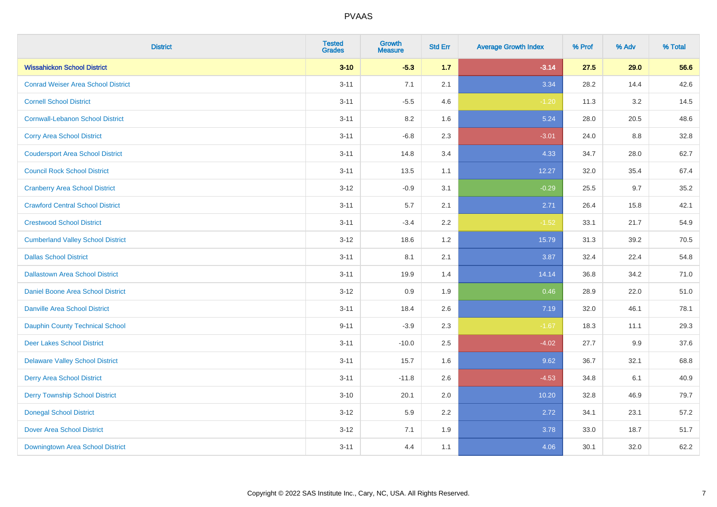| <b>District</b>                           | <b>Tested</b><br><b>Grades</b> | Growth<br><b>Measure</b> | <b>Std Err</b> | <b>Average Growth Index</b> | % Prof | % Adv | % Total |
|-------------------------------------------|--------------------------------|--------------------------|----------------|-----------------------------|--------|-------|---------|
| <b>Wissahickon School District</b>        | $3 - 10$                       | $-5.3$                   | 1.7            | $-3.14$                     | 27.5   | 29.0  | 56.6    |
| <b>Conrad Weiser Area School District</b> | $3 - 11$                       | 7.1                      | 2.1            | 3.34                        | 28.2   | 14.4  | 42.6    |
| <b>Cornell School District</b>            | $3 - 11$                       | $-5.5$                   | 4.6            | $-1.20$                     | 11.3   | 3.2   | 14.5    |
| <b>Cornwall-Lebanon School District</b>   | $3 - 11$                       | $8.2\,$                  | 1.6            | 5.24                        | 28.0   | 20.5  | 48.6    |
| <b>Corry Area School District</b>         | $3 - 11$                       | $-6.8$                   | 2.3            | $-3.01$                     | 24.0   | 8.8   | 32.8    |
| <b>Coudersport Area School District</b>   | $3 - 11$                       | 14.8                     | 3.4            | 4.33                        | 34.7   | 28.0  | 62.7    |
| <b>Council Rock School District</b>       | $3 - 11$                       | 13.5                     | 1.1            | 12.27                       | 32.0   | 35.4  | 67.4    |
| <b>Cranberry Area School District</b>     | $3 - 12$                       | $-0.9$                   | 3.1            | $-0.29$                     | 25.5   | 9.7   | 35.2    |
| <b>Crawford Central School District</b>   | $3 - 11$                       | 5.7                      | 2.1            | 2.71                        | 26.4   | 15.8  | 42.1    |
| <b>Crestwood School District</b>          | $3 - 11$                       | $-3.4$                   | $2.2\,$        | $-1.52$                     | 33.1   | 21.7  | 54.9    |
| <b>Cumberland Valley School District</b>  | $3 - 12$                       | 18.6                     | 1.2            | 15.79                       | 31.3   | 39.2  | 70.5    |
| <b>Dallas School District</b>             | $3 - 11$                       | 8.1                      | 2.1            | 3.87                        | 32.4   | 22.4  | 54.8    |
| <b>Dallastown Area School District</b>    | $3 - 11$                       | 19.9                     | 1.4            | 14.14                       | 36.8   | 34.2  | 71.0    |
| Daniel Boone Area School District         | $3 - 12$                       | 0.9                      | 1.9            | 0.46                        | 28.9   | 22.0  | 51.0    |
| <b>Danville Area School District</b>      | $3 - 11$                       | 18.4                     | 2.6            | 7.19                        | 32.0   | 46.1  | 78.1    |
| <b>Dauphin County Technical School</b>    | $9 - 11$                       | $-3.9$                   | 2.3            | $-1.67$                     | 18.3   | 11.1  | 29.3    |
| <b>Deer Lakes School District</b>         | $3 - 11$                       | $-10.0$                  | 2.5            | $-4.02$                     | 27.7   | 9.9   | 37.6    |
| <b>Delaware Valley School District</b>    | $3 - 11$                       | 15.7                     | 1.6            | 9.62                        | 36.7   | 32.1  | 68.8    |
| <b>Derry Area School District</b>         | $3 - 11$                       | $-11.8$                  | 2.6            | $-4.53$                     | 34.8   | 6.1   | 40.9    |
| <b>Derry Township School District</b>     | $3 - 10$                       | 20.1                     | 2.0            | 10.20                       | 32.8   | 46.9  | 79.7    |
| <b>Donegal School District</b>            | $3 - 12$                       | 5.9                      | 2.2            | 2.72                        | 34.1   | 23.1  | 57.2    |
| <b>Dover Area School District</b>         | $3 - 12$                       | 7.1                      | 1.9            | 3.78                        | 33.0   | 18.7  | 51.7    |
| Downingtown Area School District          | $3 - 11$                       | 4.4                      | 1.1            | 4.06                        | 30.1   | 32.0  | 62.2    |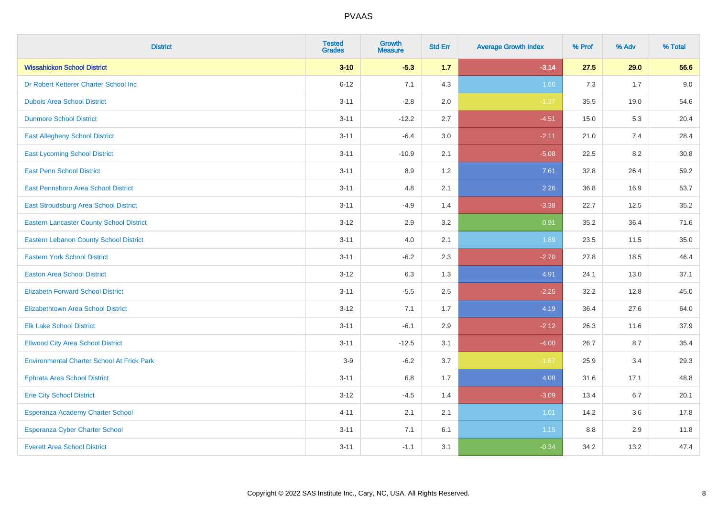| <b>District</b>                                   | <b>Tested</b><br><b>Grades</b> | <b>Growth</b><br><b>Measure</b> | <b>Std Err</b> | <b>Average Growth Index</b> | % Prof | % Adv | % Total |
|---------------------------------------------------|--------------------------------|---------------------------------|----------------|-----------------------------|--------|-------|---------|
| <b>Wissahickon School District</b>                | $3 - 10$                       | $-5.3$                          | 1.7            | $-3.14$                     | 27.5   | 29.0  | 56.6    |
| Dr Robert Ketterer Charter School Inc             | $6 - 12$                       | 7.1                             | 4.3            | 1.66                        | 7.3    | 1.7   | 9.0     |
| <b>Dubois Area School District</b>                | $3 - 11$                       | $-2.8$                          | 2.0            | $-1.37$                     | 35.5   | 19.0  | 54.6    |
| <b>Dunmore School District</b>                    | $3 - 11$                       | $-12.2$                         | 2.7            | $-4.51$                     | 15.0   | 5.3   | 20.4    |
| <b>East Allegheny School District</b>             | $3 - 11$                       | $-6.4$                          | 3.0            | $-2.11$                     | 21.0   | 7.4   | 28.4    |
| <b>East Lycoming School District</b>              | $3 - 11$                       | $-10.9$                         | 2.1            | $-5.08$                     | 22.5   | 8.2   | 30.8    |
| <b>East Penn School District</b>                  | $3 - 11$                       | 8.9                             | 1.2            | 7.61                        | 32.8   | 26.4  | 59.2    |
| East Pennsboro Area School District               | $3 - 11$                       | 4.8                             | 2.1            | 2.26                        | 36.8   | 16.9  | 53.7    |
| East Stroudsburg Area School District             | $3 - 11$                       | $-4.9$                          | 1.4            | $-3.38$                     | 22.7   | 12.5  | 35.2    |
| <b>Eastern Lancaster County School District</b>   | $3 - 12$                       | 2.9                             | 3.2            | 0.91                        | 35.2   | 36.4  | 71.6    |
| <b>Eastern Lebanon County School District</b>     | $3 - 11$                       | 4.0                             | 2.1            | 1.89                        | 23.5   | 11.5  | 35.0    |
| <b>Eastern York School District</b>               | $3 - 11$                       | $-6.2$                          | 2.3            | $-2.70$                     | 27.8   | 18.5  | 46.4    |
| <b>Easton Area School District</b>                | $3 - 12$                       | 6.3                             | 1.3            | 4.91                        | 24.1   | 13.0  | 37.1    |
| <b>Elizabeth Forward School District</b>          | $3 - 11$                       | $-5.5$                          | 2.5            | $-2.25$                     | 32.2   | 12.8  | 45.0    |
| <b>Elizabethtown Area School District</b>         | $3 - 12$                       | 7.1                             | 1.7            | 4.19                        | 36.4   | 27.6  | 64.0    |
| <b>Elk Lake School District</b>                   | $3 - 11$                       | $-6.1$                          | 2.9            | $-2.12$                     | 26.3   | 11.6  | 37.9    |
| <b>Ellwood City Area School District</b>          | $3 - 11$                       | $-12.5$                         | 3.1            | $-4.00$                     | 26.7   | 8.7   | 35.4    |
| <b>Environmental Charter School At Frick Park</b> | $3-9$                          | $-6.2$                          | 3.7            | $-1.67$                     | 25.9   | 3.4   | 29.3    |
| <b>Ephrata Area School District</b>               | $3 - 11$                       | $6.8\,$                         | 1.7            | 4.08                        | 31.6   | 17.1  | 48.8    |
| <b>Erie City School District</b>                  | $3 - 12$                       | $-4.5$                          | 1.4            | $-3.09$                     | 13.4   | 6.7   | 20.1    |
| Esperanza Academy Charter School                  | $4 - 11$                       | 2.1                             | 2.1            | 1.01                        | 14.2   | 3.6   | 17.8    |
| <b>Esperanza Cyber Charter School</b>             | $3 - 11$                       | 7.1                             | 6.1            | 1.15                        | 8.8    | 2.9   | 11.8    |
| <b>Everett Area School District</b>               | $3 - 11$                       | $-1.1$                          | 3.1            | $-0.34$                     | 34.2   | 13.2  | 47.4    |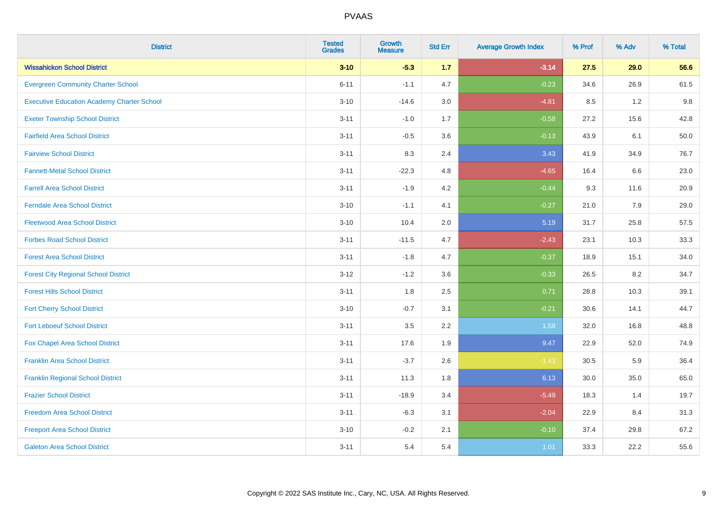| <b>District</b>                                   | <b>Tested</b><br><b>Grades</b> | <b>Growth</b><br><b>Measure</b> | <b>Std Err</b> | <b>Average Growth Index</b> | % Prof | % Adv | % Total |
|---------------------------------------------------|--------------------------------|---------------------------------|----------------|-----------------------------|--------|-------|---------|
| <b>Wissahickon School District</b>                | $3 - 10$                       | $-5.3$                          | 1.7            | $-3.14$                     | 27.5   | 29.0  | 56.6    |
| <b>Evergreen Community Charter School</b>         | $6 - 11$                       | $-1.1$                          | 4.7            | $-0.23$                     | 34.6   | 26.9  | 61.5    |
| <b>Executive Education Academy Charter School</b> | $3 - 10$                       | $-14.6$                         | 3.0            | $-4.81$                     | 8.5    | 1.2   | 9.8     |
| <b>Exeter Township School District</b>            | $3 - 11$                       | $-1.0$                          | 1.7            | $-0.58$                     | 27.2   | 15.6  | 42.8    |
| <b>Fairfield Area School District</b>             | $3 - 11$                       | $-0.5$                          | 3.6            | $-0.13$                     | 43.9   | 6.1   | 50.0    |
| <b>Fairview School District</b>                   | $3 - 11$                       | 8.3                             | 2.4            | 3.43                        | 41.9   | 34.9  | 76.7    |
| <b>Fannett-Metal School District</b>              | $3 - 11$                       | $-22.3$                         | 4.8            | $-4.65$                     | 16.4   | 6.6   | 23.0    |
| <b>Farrell Area School District</b>               | $3 - 11$                       | $-1.9$                          | 4.2            | $-0.44$                     | 9.3    | 11.6  | 20.9    |
| <b>Ferndale Area School District</b>              | $3 - 10$                       | $-1.1$                          | 4.1            | $-0.27$                     | 21.0   | 7.9   | 29.0    |
| <b>Fleetwood Area School District</b>             | $3 - 10$                       | 10.4                            | 2.0            | 5.19                        | 31.7   | 25.8  | 57.5    |
| <b>Forbes Road School District</b>                | $3 - 11$                       | $-11.5$                         | 4.7            | $-2.43$                     | 23.1   | 10.3  | 33.3    |
| <b>Forest Area School District</b>                | $3 - 11$                       | $-1.8$                          | 4.7            | $-0.37$                     | 18.9   | 15.1  | 34.0    |
| <b>Forest City Regional School District</b>       | $3 - 12$                       | $-1.2$                          | 3.6            | $-0.33$                     | 26.5   | 8.2   | 34.7    |
| <b>Forest Hills School District</b>               | $3 - 11$                       | 1.8                             | 2.5            | 0.71                        | 28.8   | 10.3  | 39.1    |
| <b>Fort Cherry School District</b>                | $3 - 10$                       | $-0.7$                          | 3.1            | $-0.21$                     | 30.6   | 14.1  | 44.7    |
| <b>Fort Leboeuf School District</b>               | $3 - 11$                       | 3.5                             | 2.2            | 1.58                        | 32.0   | 16.8  | 48.8    |
| Fox Chapel Area School District                   | $3 - 11$                       | 17.6                            | 1.9            | 9.47                        | 22.9   | 52.0  | 74.9    |
| <b>Franklin Area School District</b>              | $3 - 11$                       | $-3.7$                          | 2.6            | $-1.43$                     | 30.5   | 5.9   | 36.4    |
| <b>Franklin Regional School District</b>          | $3 - 11$                       | 11.3                            | 1.8            | 6.13                        | 30.0   | 35.0  | 65.0    |
| <b>Frazier School District</b>                    | $3 - 11$                       | $-18.9$                         | 3.4            | $-5.49$                     | 18.3   | 1.4   | 19.7    |
| <b>Freedom Area School District</b>               | $3 - 11$                       | $-6.3$                          | 3.1            | $-2.04$                     | 22.9   | 8.4   | 31.3    |
| <b>Freeport Area School District</b>              | $3 - 10$                       | $-0.2$                          | 2.1            | $-0.10$                     | 37.4   | 29.8  | 67.2    |
| <b>Galeton Area School District</b>               | $3 - 11$                       | 5.4                             | 5.4            | 1.01                        | 33.3   | 22.2  | 55.6    |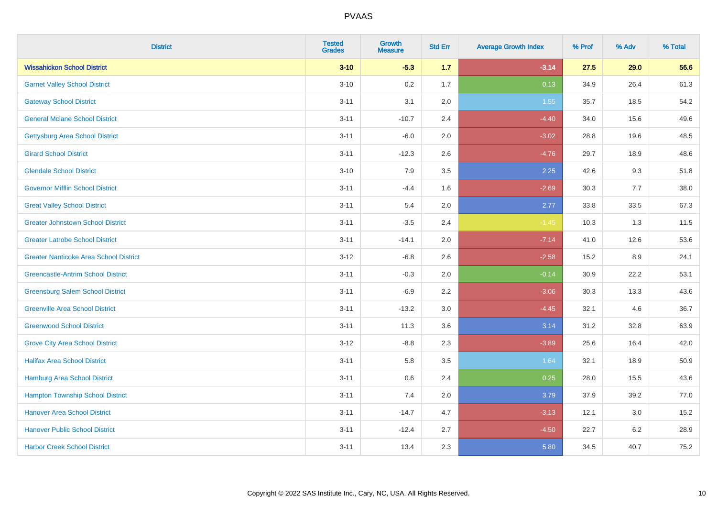| <b>District</b>                               | <b>Tested</b><br><b>Grades</b> | Growth<br><b>Measure</b> | <b>Std Err</b> | <b>Average Growth Index</b> | % Prof | % Adv   | % Total |
|-----------------------------------------------|--------------------------------|--------------------------|----------------|-----------------------------|--------|---------|---------|
| <b>Wissahickon School District</b>            | $3 - 10$                       | $-5.3$                   | 1.7            | $-3.14$                     | 27.5   | 29.0    | 56.6    |
| <b>Garnet Valley School District</b>          | $3 - 10$                       | 0.2                      | 1.7            | 0.13                        | 34.9   | 26.4    | 61.3    |
| <b>Gateway School District</b>                | $3 - 11$                       | 3.1                      | 2.0            | 1.55                        | 35.7   | 18.5    | 54.2    |
| <b>General Mclane School District</b>         | $3 - 11$                       | $-10.7$                  | 2.4            | $-4.40$                     | 34.0   | 15.6    | 49.6    |
| <b>Gettysburg Area School District</b>        | $3 - 11$                       | $-6.0$                   | 2.0            | $-3.02$                     | 28.8   | 19.6    | 48.5    |
| <b>Girard School District</b>                 | $3 - 11$                       | $-12.3$                  | 2.6            | $-4.76$                     | 29.7   | 18.9    | 48.6    |
| <b>Glendale School District</b>               | $3 - 10$                       | 7.9                      | 3.5            | 2.25                        | 42.6   | 9.3     | 51.8    |
| <b>Governor Mifflin School District</b>       | $3 - 11$                       | $-4.4$                   | 1.6            | $-2.69$                     | 30.3   | 7.7     | 38.0    |
| <b>Great Valley School District</b>           | $3 - 11$                       | 5.4                      | 2.0            | 2.77                        | 33.8   | 33.5    | 67.3    |
| <b>Greater Johnstown School District</b>      | $3 - 11$                       | $-3.5$                   | 2.4            | $-1.45$                     | 10.3   | 1.3     | 11.5    |
| <b>Greater Latrobe School District</b>        | $3 - 11$                       | $-14.1$                  | 2.0            | $-7.14$                     | 41.0   | 12.6    | 53.6    |
| <b>Greater Nanticoke Area School District</b> | $3 - 12$                       | $-6.8$                   | 2.6            | $-2.58$                     | 15.2   | 8.9     | 24.1    |
| <b>Greencastle-Antrim School District</b>     | $3 - 11$                       | $-0.3$                   | 2.0            | $-0.14$                     | 30.9   | 22.2    | 53.1    |
| <b>Greensburg Salem School District</b>       | $3 - 11$                       | $-6.9$                   | 2.2            | $-3.06$                     | 30.3   | 13.3    | 43.6    |
| <b>Greenville Area School District</b>        | $3 - 11$                       | $-13.2$                  | 3.0            | $-4.45$                     | 32.1   | 4.6     | 36.7    |
| <b>Greenwood School District</b>              | $3 - 11$                       | 11.3                     | 3.6            | 3.14                        | 31.2   | 32.8    | 63.9    |
| <b>Grove City Area School District</b>        | $3 - 12$                       | $-8.8$                   | 2.3            | $-3.89$                     | 25.6   | 16.4    | 42.0    |
| <b>Halifax Area School District</b>           | $3 - 11$                       | 5.8                      | 3.5            | 1.64                        | 32.1   | 18.9    | 50.9    |
| Hamburg Area School District                  | $3 - 11$                       | 0.6                      | 2.4            | 0.25                        | 28.0   | 15.5    | 43.6    |
| <b>Hampton Township School District</b>       | $3 - 11$                       | 7.4                      | 2.0            | 3.79                        | 37.9   | 39.2    | 77.0    |
| <b>Hanover Area School District</b>           | $3 - 11$                       | $-14.7$                  | 4.7            | $-3.13$                     | 12.1   | 3.0     | 15.2    |
| <b>Hanover Public School District</b>         | $3 - 11$                       | $-12.4$                  | 2.7            | $-4.50$                     | 22.7   | $6.2\,$ | 28.9    |
| <b>Harbor Creek School District</b>           | $3 - 11$                       | 13.4                     | 2.3            | 5.80                        | 34.5   | 40.7    | 75.2    |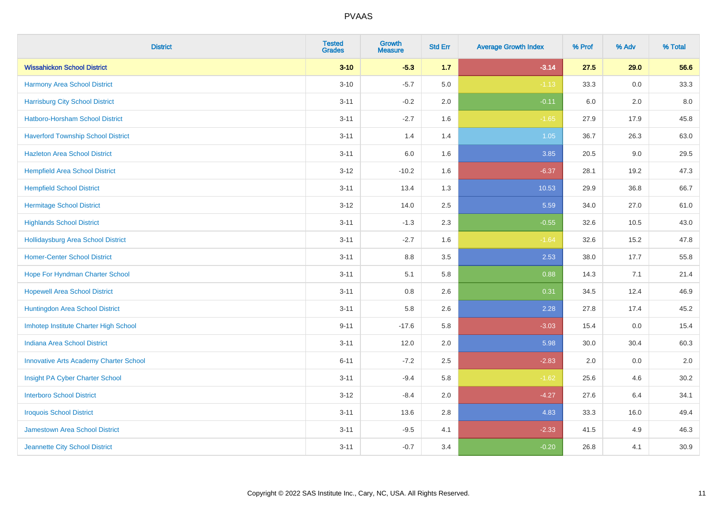| <b>District</b>                               | <b>Tested</b><br><b>Grades</b> | Growth<br><b>Measure</b> | <b>Std Err</b> | <b>Average Growth Index</b> | % Prof | % Adv | % Total |
|-----------------------------------------------|--------------------------------|--------------------------|----------------|-----------------------------|--------|-------|---------|
| <b>Wissahickon School District</b>            | $3 - 10$                       | $-5.3$                   | 1.7            | $-3.14$                     | 27.5   | 29.0  | 56.6    |
| <b>Harmony Area School District</b>           | $3 - 10$                       | $-5.7$                   | 5.0            | $-1.13$                     | 33.3   | 0.0   | 33.3    |
| <b>Harrisburg City School District</b>        | $3 - 11$                       | $-0.2$                   | 2.0            | $-0.11$                     | 6.0    | 2.0   | 8.0     |
| Hatboro-Horsham School District               | $3 - 11$                       | $-2.7$                   | 1.6            | $-1.65$                     | 27.9   | 17.9  | 45.8    |
| <b>Haverford Township School District</b>     | $3 - 11$                       | 1.4                      | 1.4            | 1.05                        | 36.7   | 26.3  | 63.0    |
| <b>Hazleton Area School District</b>          | $3 - 11$                       | 6.0                      | 1.6            | 3.85                        | 20.5   | 9.0   | 29.5    |
| <b>Hempfield Area School District</b>         | $3 - 12$                       | $-10.2$                  | 1.6            | $-6.37$                     | 28.1   | 19.2  | 47.3    |
| <b>Hempfield School District</b>              | $3 - 11$                       | 13.4                     | 1.3            | 10.53                       | 29.9   | 36.8  | 66.7    |
| <b>Hermitage School District</b>              | $3 - 12$                       | 14.0                     | 2.5            | 5.59                        | 34.0   | 27.0  | 61.0    |
| <b>Highlands School District</b>              | $3 - 11$                       | $-1.3$                   | 2.3            | $-0.55$                     | 32.6   | 10.5  | 43.0    |
| <b>Hollidaysburg Area School District</b>     | $3 - 11$                       | $-2.7$                   | 1.6            | $-1.64$                     | 32.6   | 15.2  | 47.8    |
| <b>Homer-Center School District</b>           | $3 - 11$                       | 8.8                      | 3.5            | 2.53                        | 38.0   | 17.7  | 55.8    |
| Hope For Hyndman Charter School               | $3 - 11$                       | 5.1                      | 5.8            | 0.88                        | 14.3   | 7.1   | 21.4    |
| <b>Hopewell Area School District</b>          | $3 - 11$                       | $0.8\,$                  | 2.6            | 0.31                        | 34.5   | 12.4  | 46.9    |
| Huntingdon Area School District               | $3 - 11$                       | 5.8                      | 2.6            | 2.28                        | 27.8   | 17.4  | 45.2    |
| Imhotep Institute Charter High School         | $9 - 11$                       | $-17.6$                  | 5.8            | $-3.03$                     | 15.4   | 0.0   | 15.4    |
| <b>Indiana Area School District</b>           | $3 - 11$                       | 12.0                     | 2.0            | 5.98                        | 30.0   | 30.4  | 60.3    |
| <b>Innovative Arts Academy Charter School</b> | $6 - 11$                       | $-7.2$                   | 2.5            | $-2.83$                     | 2.0    | 0.0   | 2.0     |
| Insight PA Cyber Charter School               | $3 - 11$                       | $-9.4$                   | 5.8            | $-1.62$                     | 25.6   | 4.6   | 30.2    |
| <b>Interboro School District</b>              | $3 - 12$                       | $-8.4$                   | 2.0            | $-4.27$                     | 27.6   | 6.4   | 34.1    |
| <b>Iroquois School District</b>               | $3 - 11$                       | 13.6                     | 2.8            | 4.83                        | 33.3   | 16.0  | 49.4    |
| <b>Jamestown Area School District</b>         | $3 - 11$                       | $-9.5$                   | 4.1            | $-2.33$                     | 41.5   | 4.9   | 46.3    |
| Jeannette City School District                | $3 - 11$                       | $-0.7$                   | 3.4            | $-0.20$                     | 26.8   | 4.1   | 30.9    |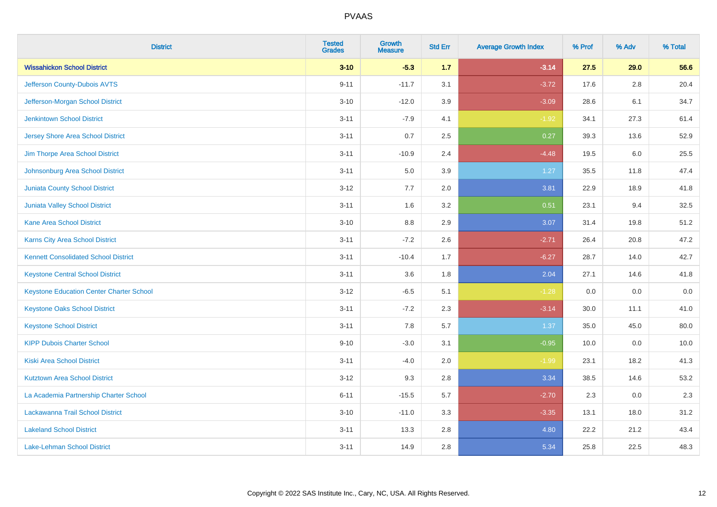| <b>District</b>                                 | <b>Tested</b><br><b>Grades</b> | <b>Growth</b><br><b>Measure</b> | <b>Std Err</b> | <b>Average Growth Index</b> | % Prof | % Adv | % Total |
|-------------------------------------------------|--------------------------------|---------------------------------|----------------|-----------------------------|--------|-------|---------|
| <b>Wissahickon School District</b>              | $3 - 10$                       | $-5.3$                          | 1.7            | $-3.14$                     | 27.5   | 29.0  | 56.6    |
| Jefferson County-Dubois AVTS                    | $9 - 11$                       | $-11.7$                         | 3.1            | $-3.72$                     | 17.6   | 2.8   | 20.4    |
| Jefferson-Morgan School District                | $3 - 10$                       | $-12.0$                         | 3.9            | $-3.09$                     | 28.6   | 6.1   | 34.7    |
| <b>Jenkintown School District</b>               | $3 - 11$                       | $-7.9$                          | 4.1            | $-1.92$                     | 34.1   | 27.3  | 61.4    |
| <b>Jersey Shore Area School District</b>        | $3 - 11$                       | 0.7                             | 2.5            | 0.27                        | 39.3   | 13.6  | 52.9    |
| Jim Thorpe Area School District                 | $3 - 11$                       | $-10.9$                         | 2.4            | $-4.48$                     | 19.5   | 6.0   | 25.5    |
| Johnsonburg Area School District                | $3 - 11$                       | 5.0                             | 3.9            | 1.27                        | 35.5   | 11.8  | 47.4    |
| <b>Juniata County School District</b>           | $3 - 12$                       | 7.7                             | 2.0            | 3.81                        | 22.9   | 18.9  | 41.8    |
| <b>Juniata Valley School District</b>           | $3 - 11$                       | 1.6                             | 3.2            | 0.51                        | 23.1   | 9.4   | 32.5    |
| <b>Kane Area School District</b>                | $3 - 10$                       | 8.8                             | 2.9            | 3.07                        | 31.4   | 19.8  | 51.2    |
| Karns City Area School District                 | $3 - 11$                       | $-7.2$                          | 2.6            | $-2.71$                     | 26.4   | 20.8  | 47.2    |
| <b>Kennett Consolidated School District</b>     | $3 - 11$                       | $-10.4$                         | 1.7            | $-6.27$                     | 28.7   | 14.0  | 42.7    |
| <b>Keystone Central School District</b>         | $3 - 11$                       | 3.6                             | 1.8            | 2.04                        | 27.1   | 14.6  | 41.8    |
| <b>Keystone Education Center Charter School</b> | $3 - 12$                       | $-6.5$                          | 5.1            | $-1.28$                     | 0.0    | 0.0   | 0.0     |
| <b>Keystone Oaks School District</b>            | $3 - 11$                       | $-7.2$                          | 2.3            | $-3.14$                     | 30.0   | 11.1  | 41.0    |
| <b>Keystone School District</b>                 | $3 - 11$                       | 7.8                             | 5.7            | 1.37                        | 35.0   | 45.0  | 80.0    |
| <b>KIPP Dubois Charter School</b>               | $9 - 10$                       | $-3.0$                          | 3.1            | $-0.95$                     | 10.0   | 0.0   | 10.0    |
| <b>Kiski Area School District</b>               | $3 - 11$                       | $-4.0$                          | 2.0            | $-1.99$                     | 23.1   | 18.2  | 41.3    |
| <b>Kutztown Area School District</b>            | $3 - 12$                       | 9.3                             | 2.8            | 3.34                        | 38.5   | 14.6  | 53.2    |
| La Academia Partnership Charter School          | $6 - 11$                       | $-15.5$                         | 5.7            | $-2.70$                     | 2.3    | 0.0   | 2.3     |
| Lackawanna Trail School District                | $3 - 10$                       | $-11.0$                         | 3.3            | $-3.35$                     | 13.1   | 18.0  | 31.2    |
| <b>Lakeland School District</b>                 | $3 - 11$                       | 13.3                            | 2.8            | 4.80                        | 22.2   | 21.2  | 43.4    |
| Lake-Lehman School District                     | $3 - 11$                       | 14.9                            | 2.8            | 5.34                        | 25.8   | 22.5  | 48.3    |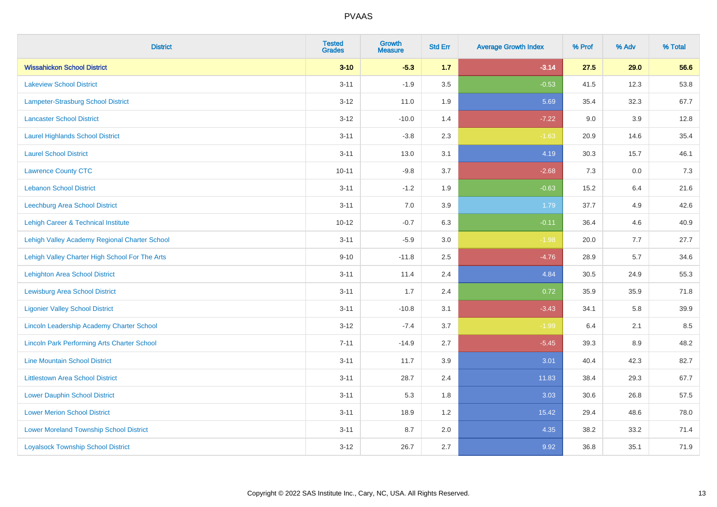| <b>District</b>                                    | <b>Tested</b><br><b>Grades</b> | <b>Growth</b><br><b>Measure</b> | <b>Std Err</b> | <b>Average Growth Index</b> | % Prof | % Adv | % Total |
|----------------------------------------------------|--------------------------------|---------------------------------|----------------|-----------------------------|--------|-------|---------|
| <b>Wissahickon School District</b>                 | $3 - 10$                       | $-5.3$                          | 1.7            | $-3.14$                     | 27.5   | 29.0  | 56.6    |
| <b>Lakeview School District</b>                    | $3 - 11$                       | $-1.9$                          | 3.5            | $-0.53$                     | 41.5   | 12.3  | 53.8    |
| Lampeter-Strasburg School District                 | $3 - 12$                       | 11.0                            | 1.9            | 5.69                        | 35.4   | 32.3  | 67.7    |
| <b>Lancaster School District</b>                   | $3 - 12$                       | $-10.0$                         | 1.4            | $-7.22$                     | 9.0    | 3.9   | 12.8    |
| <b>Laurel Highlands School District</b>            | $3 - 11$                       | $-3.8$                          | 2.3            | $-1.63$                     | 20.9   | 14.6  | 35.4    |
| <b>Laurel School District</b>                      | $3 - 11$                       | 13.0                            | 3.1            | 4.19                        | 30.3   | 15.7  | 46.1    |
| <b>Lawrence County CTC</b>                         | $10 - 11$                      | $-9.8$                          | 3.7            | $-2.68$                     | 7.3    | 0.0   | 7.3     |
| <b>Lebanon School District</b>                     | $3 - 11$                       | $-1.2$                          | 1.9            | $-0.63$                     | 15.2   | 6.4   | 21.6    |
| <b>Leechburg Area School District</b>              | $3 - 11$                       | 7.0                             | 3.9            | 1.79                        | 37.7   | 4.9   | 42.6    |
| Lehigh Career & Technical Institute                | $10 - 12$                      | $-0.7$                          | 6.3            | $-0.11$                     | 36.4   | 4.6   | 40.9    |
| Lehigh Valley Academy Regional Charter School      | $3 - 11$                       | $-5.9$                          | 3.0            | $-1.98$                     | 20.0   | 7.7   | 27.7    |
| Lehigh Valley Charter High School For The Arts     | $9 - 10$                       | $-11.8$                         | 2.5            | $-4.76$                     | 28.9   | 5.7   | 34.6    |
| <b>Lehighton Area School District</b>              | $3 - 11$                       | 11.4                            | 2.4            | 4.84                        | 30.5   | 24.9  | 55.3    |
| <b>Lewisburg Area School District</b>              | $3 - 11$                       | 1.7                             | 2.4            | 0.72                        | 35.9   | 35.9  | 71.8    |
| <b>Ligonier Valley School District</b>             | $3 - 11$                       | $-10.8$                         | 3.1            | $-3.43$                     | 34.1   | 5.8   | 39.9    |
| Lincoln Leadership Academy Charter School          | $3 - 12$                       | $-7.4$                          | 3.7            | $-1.99$                     | 6.4    | 2.1   | 8.5     |
| <b>Lincoln Park Performing Arts Charter School</b> | $7 - 11$                       | $-14.9$                         | 2.7            | $-5.45$                     | 39.3   | 8.9   | 48.2    |
| <b>Line Mountain School District</b>               | $3 - 11$                       | 11.7                            | 3.9            | 3.01                        | 40.4   | 42.3  | 82.7    |
| <b>Littlestown Area School District</b>            | $3 - 11$                       | 28.7                            | 2.4            | 11.83                       | 38.4   | 29.3  | 67.7    |
| <b>Lower Dauphin School District</b>               | $3 - 11$                       | 5.3                             | 1.8            | 3.03                        | 30.6   | 26.8  | 57.5    |
| <b>Lower Merion School District</b>                | $3 - 11$                       | 18.9                            | 1.2            | 15.42                       | 29.4   | 48.6  | 78.0    |
| <b>Lower Moreland Township School District</b>     | $3 - 11$                       | 8.7                             | 2.0            | 4.35                        | 38.2   | 33.2  | 71.4    |
| <b>Loyalsock Township School District</b>          | $3 - 12$                       | 26.7                            | 2.7            | 9.92                        | 36.8   | 35.1  | 71.9    |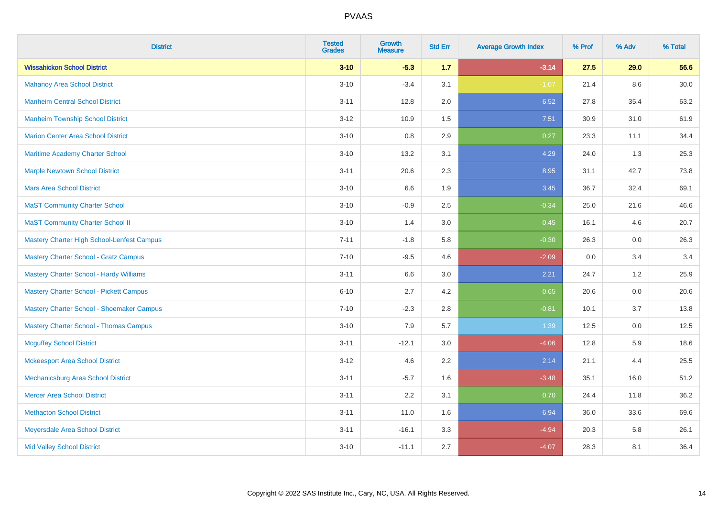| <b>District</b>                                | <b>Tested</b><br><b>Grades</b> | Growth<br><b>Measure</b> | <b>Std Err</b> | <b>Average Growth Index</b> | % Prof | % Adv | % Total |
|------------------------------------------------|--------------------------------|--------------------------|----------------|-----------------------------|--------|-------|---------|
| <b>Wissahickon School District</b>             | $3 - 10$                       | $-5.3$                   | 1.7            | $-3.14$                     | 27.5   | 29.0  | 56.6    |
| <b>Mahanoy Area School District</b>            | $3 - 10$                       | $-3.4$                   | 3.1            | $-1.07$                     | 21.4   | 8.6   | 30.0    |
| <b>Manheim Central School District</b>         | $3 - 11$                       | 12.8                     | 2.0            | 6.52                        | 27.8   | 35.4  | 63.2    |
| <b>Manheim Township School District</b>        | $3 - 12$                       | 10.9                     | 1.5            | 7.51                        | 30.9   | 31.0  | 61.9    |
| <b>Marion Center Area School District</b>      | $3 - 10$                       | 0.8                      | 2.9            | 0.27                        | 23.3   | 11.1  | 34.4    |
| Maritime Academy Charter School                | $3 - 10$                       | 13.2                     | 3.1            | 4.29                        | 24.0   | 1.3   | 25.3    |
| <b>Marple Newtown School District</b>          | $3 - 11$                       | 20.6                     | 2.3            | 8.95                        | 31.1   | 42.7  | 73.8    |
| <b>Mars Area School District</b>               | $3 - 10$                       | 6.6                      | 1.9            | 3.45                        | 36.7   | 32.4  | 69.1    |
| <b>MaST Community Charter School</b>           | $3 - 10$                       | $-0.9$                   | 2.5            | $-0.34$                     | 25.0   | 21.6  | 46.6    |
| <b>MaST Community Charter School II</b>        | $3 - 10$                       | 1.4                      | 3.0            | 0.45                        | 16.1   | 4.6   | 20.7    |
| Mastery Charter High School-Lenfest Campus     | $7 - 11$                       | $-1.8$                   | 5.8            | $-0.30$                     | 26.3   | 0.0   | 26.3    |
| <b>Mastery Charter School - Gratz Campus</b>   | $7 - 10$                       | $-9.5$                   | 4.6            | $-2.09$                     | 0.0    | 3.4   | 3.4     |
| <b>Mastery Charter School - Hardy Williams</b> | $3 - 11$                       | 6.6                      | 3.0            | 2.21                        | 24.7   | 1.2   | 25.9    |
| <b>Mastery Charter School - Pickett Campus</b> | $6 - 10$                       | 2.7                      | 4.2            | 0.65                        | 20.6   | 0.0   | 20.6    |
| Mastery Charter School - Shoemaker Campus      | $7 - 10$                       | $-2.3$                   | 2.8            | $-0.81$                     | 10.1   | 3.7   | 13.8    |
| <b>Mastery Charter School - Thomas Campus</b>  | $3 - 10$                       | 7.9                      | 5.7            | 1.39                        | 12.5   | 0.0   | 12.5    |
| <b>Mcguffey School District</b>                | $3 - 11$                       | $-12.1$                  | 3.0            | $-4.06$                     | 12.8   | 5.9   | 18.6    |
| <b>Mckeesport Area School District</b>         | $3 - 12$                       | 4.6                      | 2.2            | 2.14                        | 21.1   | 4.4   | 25.5    |
| Mechanicsburg Area School District             | $3 - 11$                       | $-5.7$                   | 1.6            | $-3.48$                     | 35.1   | 16.0  | 51.2    |
| <b>Mercer Area School District</b>             | $3 - 11$                       | 2.2                      | 3.1            | 0.70                        | 24.4   | 11.8  | 36.2    |
| <b>Methacton School District</b>               | $3 - 11$                       | 11.0                     | 1.6            | 6.94                        | 36.0   | 33.6  | 69.6    |
| Meyersdale Area School District                | $3 - 11$                       | $-16.1$                  | 3.3            | $-4.94$                     | 20.3   | 5.8   | 26.1    |
| <b>Mid Valley School District</b>              | $3 - 10$                       | $-11.1$                  | 2.7            | $-4.07$                     | 28.3   | 8.1   | 36.4    |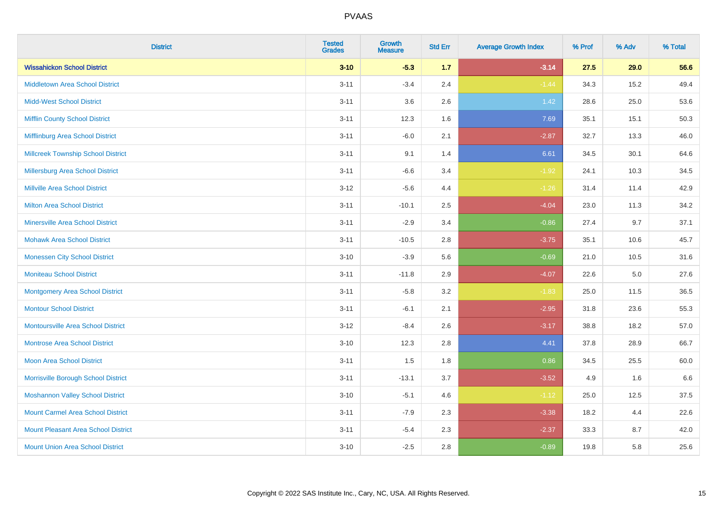| <b>District</b>                            | <b>Tested</b><br><b>Grades</b> | <b>Growth</b><br><b>Measure</b> | <b>Std Err</b> | <b>Average Growth Index</b> | % Prof | % Adv   | % Total |
|--------------------------------------------|--------------------------------|---------------------------------|----------------|-----------------------------|--------|---------|---------|
| <b>Wissahickon School District</b>         | $3 - 10$                       | $-5.3$                          | 1.7            | $-3.14$                     | 27.5   | 29.0    | 56.6    |
| <b>Middletown Area School District</b>     | $3 - 11$                       | $-3.4$                          | 2.4            | $-1.44$                     | 34.3   | 15.2    | 49.4    |
| <b>Midd-West School District</b>           | $3 - 11$                       | 3.6                             | 2.6            | 1.42                        | 28.6   | 25.0    | 53.6    |
| <b>Mifflin County School District</b>      | $3 - 11$                       | 12.3                            | 1.6            | 7.69                        | 35.1   | 15.1    | 50.3    |
| Mifflinburg Area School District           | $3 - 11$                       | $-6.0$                          | 2.1            | $-2.87$                     | 32.7   | 13.3    | 46.0    |
| <b>Millcreek Township School District</b>  | $3 - 11$                       | 9.1                             | 1.4            | 6.61                        | 34.5   | 30.1    | 64.6    |
| Millersburg Area School District           | $3 - 11$                       | $-6.6$                          | 3.4            | $-1.92$                     | 24.1   | 10.3    | 34.5    |
| <b>Millville Area School District</b>      | $3 - 12$                       | $-5.6$                          | 4.4            | $-1.26$                     | 31.4   | 11.4    | 42.9    |
| <b>Milton Area School District</b>         | $3 - 11$                       | $-10.1$                         | 2.5            | $-4.04$                     | 23.0   | 11.3    | 34.2    |
| <b>Minersville Area School District</b>    | $3 - 11$                       | $-2.9$                          | 3.4            | $-0.86$                     | 27.4   | 9.7     | 37.1    |
| <b>Mohawk Area School District</b>         | $3 - 11$                       | $-10.5$                         | 2.8            | $-3.75$                     | 35.1   | 10.6    | 45.7    |
| <b>Monessen City School District</b>       | $3 - 10$                       | $-3.9$                          | 5.6            | $-0.69$                     | 21.0   | 10.5    | 31.6    |
| <b>Moniteau School District</b>            | $3 - 11$                       | $-11.8$                         | 2.9            | $-4.07$                     | 22.6   | $5.0\,$ | 27.6    |
| <b>Montgomery Area School District</b>     | $3 - 11$                       | $-5.8$                          | 3.2            | $-1.83$                     | 25.0   | 11.5    | 36.5    |
| <b>Montour School District</b>             | $3 - 11$                       | $-6.1$                          | 2.1            | $-2.95$                     | 31.8   | 23.6    | 55.3    |
| <b>Montoursville Area School District</b>  | $3 - 12$                       | $-8.4$                          | 2.6            | $-3.17$                     | 38.8   | 18.2    | 57.0    |
| <b>Montrose Area School District</b>       | $3 - 10$                       | 12.3                            | 2.8            | 4.41                        | 37.8   | 28.9    | 66.7    |
| <b>Moon Area School District</b>           | $3 - 11$                       | 1.5                             | 1.8            | 0.86                        | 34.5   | 25.5    | 60.0    |
| Morrisville Borough School District        | $3 - 11$                       | $-13.1$                         | 3.7            | $-3.52$                     | 4.9    | 1.6     | 6.6     |
| <b>Moshannon Valley School District</b>    | $3 - 10$                       | $-5.1$                          | 4.6            | $-1.12$                     | 25.0   | 12.5    | 37.5    |
| <b>Mount Carmel Area School District</b>   | $3 - 11$                       | $-7.9$                          | 2.3            | $-3.38$                     | 18.2   | 4.4     | 22.6    |
| <b>Mount Pleasant Area School District</b> | $3 - 11$                       | $-5.4$                          | 2.3            | $-2.37$                     | 33.3   | 8.7     | 42.0    |
| <b>Mount Union Area School District</b>    | $3 - 10$                       | $-2.5$                          | 2.8            | $-0.89$                     | 19.8   | 5.8     | 25.6    |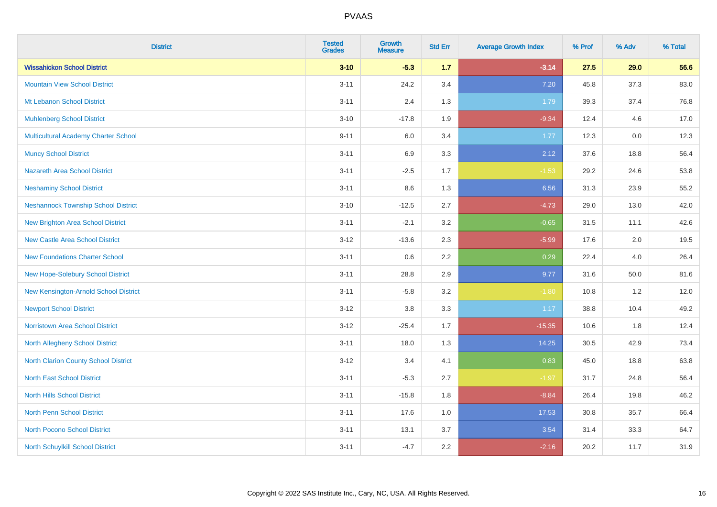| <b>District</b>                             | <b>Tested</b><br><b>Grades</b> | <b>Growth</b><br><b>Measure</b> | <b>Std Err</b> | <b>Average Growth Index</b> | % Prof | % Adv | % Total |
|---------------------------------------------|--------------------------------|---------------------------------|----------------|-----------------------------|--------|-------|---------|
| <b>Wissahickon School District</b>          | $3 - 10$                       | $-5.3$                          | 1.7            | $-3.14$                     | 27.5   | 29.0  | 56.6    |
| <b>Mountain View School District</b>        | $3 - 11$                       | 24.2                            | 3.4            | 7.20                        | 45.8   | 37.3  | 83.0    |
| Mt Lebanon School District                  | $3 - 11$                       | 2.4                             | 1.3            | 1.79                        | 39.3   | 37.4  | 76.8    |
| <b>Muhlenberg School District</b>           | $3 - 10$                       | $-17.8$                         | 1.9            | $-9.34$                     | 12.4   | 4.6   | 17.0    |
| <b>Multicultural Academy Charter School</b> | $9 - 11$                       | 6.0                             | 3.4            | 1.77                        | 12.3   | 0.0   | 12.3    |
| <b>Muncy School District</b>                | $3 - 11$                       | 6.9                             | 3.3            | 2.12                        | 37.6   | 18.8  | 56.4    |
| Nazareth Area School District               | $3 - 11$                       | $-2.5$                          | 1.7            | $-1.53$                     | 29.2   | 24.6  | 53.8    |
| <b>Neshaminy School District</b>            | $3 - 11$                       | $8.6\,$                         | 1.3            | 6.56                        | 31.3   | 23.9  | 55.2    |
| <b>Neshannock Township School District</b>  | $3 - 10$                       | $-12.5$                         | 2.7            | $-4.73$                     | 29.0   | 13.0  | 42.0    |
| <b>New Brighton Area School District</b>    | $3 - 11$                       | $-2.1$                          | 3.2            | $-0.65$                     | 31.5   | 11.1  | 42.6    |
| <b>New Castle Area School District</b>      | $3 - 12$                       | $-13.6$                         | 2.3            | $-5.99$                     | 17.6   | 2.0   | 19.5    |
| <b>New Foundations Charter School</b>       | $3 - 11$                       | 0.6                             | 2.2            | 0.29                        | 22.4   | 4.0   | 26.4    |
| New Hope-Solebury School District           | $3 - 11$                       | 28.8                            | 2.9            | 9.77                        | 31.6   | 50.0  | 81.6    |
| New Kensington-Arnold School District       | $3 - 11$                       | $-5.8$                          | 3.2            | $-1.80$                     | 10.8   | 1.2   | 12.0    |
| <b>Newport School District</b>              | $3 - 12$                       | $3.8\,$                         | 3.3            | 1.17                        | 38.8   | 10.4  | 49.2    |
| <b>Norristown Area School District</b>      | $3 - 12$                       | $-25.4$                         | 1.7            | $-15.35$                    | 10.6   | 1.8   | 12.4    |
| <b>North Allegheny School District</b>      | $3 - 11$                       | 18.0                            | 1.3            | 14.25                       | 30.5   | 42.9  | 73.4    |
| <b>North Clarion County School District</b> | $3 - 12$                       | 3.4                             | 4.1            | 0.83                        | 45.0   | 18.8  | 63.8    |
| <b>North East School District</b>           | $3 - 11$                       | $-5.3$                          | 2.7            | $-1.97$                     | 31.7   | 24.8  | 56.4    |
| <b>North Hills School District</b>          | $3 - 11$                       | $-15.8$                         | 1.8            | $-8.84$                     | 26.4   | 19.8  | 46.2    |
| <b>North Penn School District</b>           | $3 - 11$                       | 17.6                            | 1.0            | 17.53                       | 30.8   | 35.7  | 66.4    |
| <b>North Pocono School District</b>         | $3 - 11$                       | 13.1                            | 3.7            | 3.54                        | 31.4   | 33.3  | 64.7    |
| North Schuylkill School District            | $3 - 11$                       | $-4.7$                          | 2.2            | $-2.16$                     | 20.2   | 11.7  | 31.9    |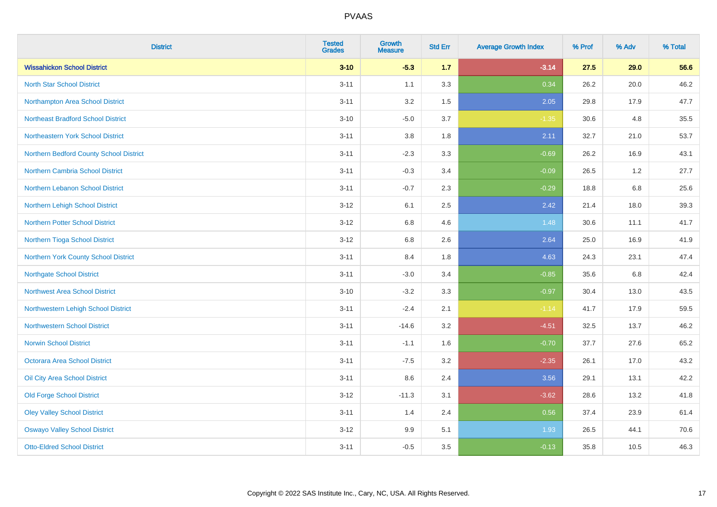| <b>District</b>                           | <b>Tested</b><br><b>Grades</b> | Growth<br><b>Measure</b> | <b>Std Err</b> | <b>Average Growth Index</b> | % Prof | % Adv | % Total |
|-------------------------------------------|--------------------------------|--------------------------|----------------|-----------------------------|--------|-------|---------|
| <b>Wissahickon School District</b>        | $3 - 10$                       | $-5.3$                   | 1.7            | $-3.14$                     | 27.5   | 29.0  | 56.6    |
| <b>North Star School District</b>         | $3 - 11$                       | 1.1                      | 3.3            | 0.34                        | 26.2   | 20.0  | 46.2    |
| Northampton Area School District          | $3 - 11$                       | 3.2                      | 1.5            | 2.05                        | 29.8   | 17.9  | 47.7    |
| <b>Northeast Bradford School District</b> | $3 - 10$                       | $-5.0$                   | 3.7            | $-1.35$                     | 30.6   | 4.8   | 35.5    |
| Northeastern York School District         | $3 - 11$                       | 3.8                      | 1.8            | 2.11                        | 32.7   | 21.0  | 53.7    |
| Northern Bedford County School District   | $3 - 11$                       | $-2.3$                   | 3.3            | $-0.69$                     | 26.2   | 16.9  | 43.1    |
| Northern Cambria School District          | $3 - 11$                       | $-0.3$                   | 3.4            | $-0.09$                     | 26.5   | 1.2   | 27.7    |
| <b>Northern Lebanon School District</b>   | $3 - 11$                       | $-0.7$                   | 2.3            | $-0.29$                     | 18.8   | 6.8   | 25.6    |
| Northern Lehigh School District           | $3 - 12$                       | 6.1                      | 2.5            | 2.42                        | 21.4   | 18.0  | 39.3    |
| <b>Northern Potter School District</b>    | $3 - 12$                       | 6.8                      | 4.6            | 1.48                        | 30.6   | 11.1  | 41.7    |
| Northern Tioga School District            | $3 - 12$                       | $6.8\,$                  | 2.6            | 2.64                        | 25.0   | 16.9  | 41.9    |
| Northern York County School District      | $3 - 11$                       | 8.4                      | 1.8            | 4.63                        | 24.3   | 23.1  | 47.4    |
| <b>Northgate School District</b>          | $3 - 11$                       | $-3.0$                   | 3.4            | $-0.85$                     | 35.6   | 6.8   | 42.4    |
| Northwest Area School District            | $3 - 10$                       | $-3.2$                   | 3.3            | $-0.97$                     | 30.4   | 13.0  | 43.5    |
| Northwestern Lehigh School District       | $3 - 11$                       | $-2.4$                   | 2.1            | $-1.14$                     | 41.7   | 17.9  | 59.5    |
| <b>Northwestern School District</b>       | $3 - 11$                       | $-14.6$                  | 3.2            | $-4.51$                     | 32.5   | 13.7  | 46.2    |
| <b>Norwin School District</b>             | $3 - 11$                       | $-1.1$                   | 1.6            | $-0.70$                     | 37.7   | 27.6  | 65.2    |
| <b>Octorara Area School District</b>      | $3 - 11$                       | $-7.5$                   | 3.2            | $-2.35$                     | 26.1   | 17.0  | 43.2    |
| Oil City Area School District             | $3 - 11$                       | 8.6                      | 2.4            | 3.56                        | 29.1   | 13.1  | 42.2    |
| <b>Old Forge School District</b>          | $3 - 12$                       | $-11.3$                  | 3.1            | $-3.62$                     | 28.6   | 13.2  | 41.8    |
| <b>Oley Valley School District</b>        | $3 - 11$                       | 1.4                      | 2.4            | 0.56                        | 37.4   | 23.9  | 61.4    |
| <b>Oswayo Valley School District</b>      | $3 - 12$                       | 9.9                      | 5.1            | 1.93                        | 26.5   | 44.1  | 70.6    |
| <b>Otto-Eldred School District</b>        | $3 - 11$                       | $-0.5$                   | 3.5            | $-0.13$                     | 35.8   | 10.5  | 46.3    |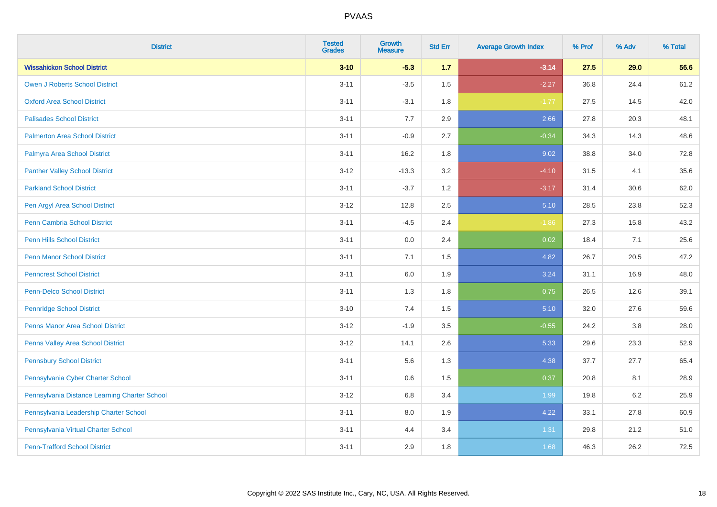| <b>District</b>                               | <b>Tested</b><br><b>Grades</b> | <b>Growth</b><br><b>Measure</b> | <b>Std Err</b> | <b>Average Growth Index</b> | % Prof | % Adv   | % Total |
|-----------------------------------------------|--------------------------------|---------------------------------|----------------|-----------------------------|--------|---------|---------|
| <b>Wissahickon School District</b>            | $3 - 10$                       | $-5.3$                          | $1.7$          | $-3.14$                     | 27.5   | 29.0    | 56.6    |
| <b>Owen J Roberts School District</b>         | $3 - 11$                       | $-3.5$                          | 1.5            | $-2.27$                     | 36.8   | 24.4    | 61.2    |
| <b>Oxford Area School District</b>            | $3 - 11$                       | $-3.1$                          | 1.8            | $-1.77$                     | 27.5   | 14.5    | 42.0    |
| <b>Palisades School District</b>              | $3 - 11$                       | 7.7                             | 2.9            | 2.66                        | 27.8   | 20.3    | 48.1    |
| <b>Palmerton Area School District</b>         | $3 - 11$                       | $-0.9$                          | 2.7            | $-0.34$                     | 34.3   | 14.3    | 48.6    |
| Palmyra Area School District                  | $3 - 11$                       | 16.2                            | 1.8            | 9.02                        | 38.8   | 34.0    | 72.8    |
| <b>Panther Valley School District</b>         | $3 - 12$                       | $-13.3$                         | 3.2            | $-4.10$                     | 31.5   | 4.1     | 35.6    |
| <b>Parkland School District</b>               | $3 - 11$                       | $-3.7$                          | 1.2            | $-3.17$                     | 31.4   | 30.6    | 62.0    |
| Pen Argyl Area School District                | $3 - 12$                       | 12.8                            | 2.5            | 5.10                        | 28.5   | 23.8    | 52.3    |
| <b>Penn Cambria School District</b>           | $3 - 11$                       | $-4.5$                          | 2.4            | $-1.86$                     | 27.3   | 15.8    | 43.2    |
| Penn Hills School District                    | $3 - 11$                       | 0.0                             | 2.4            | 0.02                        | 18.4   | 7.1     | 25.6    |
| <b>Penn Manor School District</b>             | $3 - 11$                       | 7.1                             | 1.5            | 4.82                        | 26.7   | 20.5    | 47.2    |
| <b>Penncrest School District</b>              | $3 - 11$                       | 6.0                             | 1.9            | 3.24                        | 31.1   | 16.9    | 48.0    |
| <b>Penn-Delco School District</b>             | $3 - 11$                       | 1.3                             | 1.8            | 0.75                        | 26.5   | 12.6    | 39.1    |
| <b>Pennridge School District</b>              | $3 - 10$                       | 7.4                             | 1.5            | 5.10                        | 32.0   | 27.6    | 59.6    |
| <b>Penns Manor Area School District</b>       | $3-12$                         | $-1.9$                          | 3.5            | $-0.55$                     | 24.2   | $3.8\,$ | 28.0    |
| Penns Valley Area School District             | $3-12$                         | 14.1                            | 2.6            | 5.33                        | 29.6   | 23.3    | 52.9    |
| <b>Pennsbury School District</b>              | $3 - 11$                       | 5.6                             | 1.3            | 4.38                        | 37.7   | 27.7    | 65.4    |
| Pennsylvania Cyber Charter School             | $3 - 11$                       | 0.6                             | 1.5            | 0.37                        | 20.8   | 8.1     | 28.9    |
| Pennsylvania Distance Learning Charter School | $3-12$                         | 6.8                             | 3.4            | 1.99                        | 19.8   | 6.2     | 25.9    |
| Pennsylvania Leadership Charter School        | $3 - 11$                       | 8.0                             | 1.9            | 4.22                        | 33.1   | 27.8    | 60.9    |
| Pennsylvania Virtual Charter School           | $3 - 11$                       | 4.4                             | 3.4            | 1.31                        | 29.8   | 21.2    | 51.0    |
| <b>Penn-Trafford School District</b>          | $3 - 11$                       | 2.9                             | 1.8            | 1.68                        | 46.3   | 26.2    | 72.5    |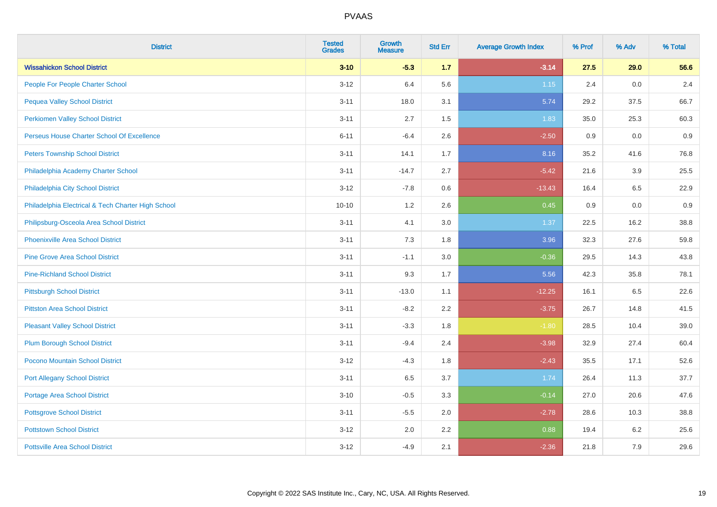| <b>District</b>                                    | <b>Tested</b><br><b>Grades</b> | <b>Growth</b><br><b>Measure</b> | <b>Std Err</b> | <b>Average Growth Index</b> | % Prof | % Adv | % Total |
|----------------------------------------------------|--------------------------------|---------------------------------|----------------|-----------------------------|--------|-------|---------|
| <b>Wissahickon School District</b>                 | $3 - 10$                       | $-5.3$                          | 1.7            | $-3.14$                     | 27.5   | 29.0  | 56.6    |
| People For People Charter School                   | $3 - 12$                       | 6.4                             | 5.6            | $1.15$                      | 2.4    | 0.0   | 2.4     |
| <b>Pequea Valley School District</b>               | $3 - 11$                       | 18.0                            | 3.1            | 5.74                        | 29.2   | 37.5  | 66.7    |
| <b>Perkiomen Valley School District</b>            | $3 - 11$                       | 2.7                             | 1.5            | 1.83                        | 35.0   | 25.3  | 60.3    |
| Perseus House Charter School Of Excellence         | $6 - 11$                       | $-6.4$                          | 2.6            | $-2.50$                     | 0.9    | 0.0   | 0.9     |
| <b>Peters Township School District</b>             | $3 - 11$                       | 14.1                            | 1.7            | 8.16                        | 35.2   | 41.6  | 76.8    |
| Philadelphia Academy Charter School                | $3 - 11$                       | $-14.7$                         | 2.7            | $-5.42$                     | 21.6   | 3.9   | 25.5    |
| Philadelphia City School District                  | $3 - 12$                       | $-7.8$                          | 0.6            | $-13.43$                    | 16.4   | 6.5   | 22.9    |
| Philadelphia Electrical & Tech Charter High School | $10 - 10$                      | 1.2                             | 2.6            | 0.45                        | 0.9    | 0.0   | 0.9     |
| Philipsburg-Osceola Area School District           | $3 - 11$                       | 4.1                             | 3.0            | 1.37                        | 22.5   | 16.2  | 38.8    |
| Phoenixville Area School District                  | $3 - 11$                       | 7.3                             | 1.8            | 3.96                        | 32.3   | 27.6  | 59.8    |
| <b>Pine Grove Area School District</b>             | $3 - 11$                       | $-1.1$                          | 3.0            | $-0.36$                     | 29.5   | 14.3  | 43.8    |
| <b>Pine-Richland School District</b>               | $3 - 11$                       | 9.3                             | 1.7            | 5.56                        | 42.3   | 35.8  | 78.1    |
| <b>Pittsburgh School District</b>                  | $3 - 11$                       | $-13.0$                         | 1.1            | $-12.25$                    | 16.1   | 6.5   | 22.6    |
| <b>Pittston Area School District</b>               | $3 - 11$                       | $-8.2$                          | 2.2            | $-3.75$                     | 26.7   | 14.8  | 41.5    |
| <b>Pleasant Valley School District</b>             | $3 - 11$                       | $-3.3$                          | 1.8            | $-1.80$                     | 28.5   | 10.4  | 39.0    |
| <b>Plum Borough School District</b>                | $3 - 11$                       | $-9.4$                          | 2.4            | $-3.98$                     | 32.9   | 27.4  | 60.4    |
| Pocono Mountain School District                    | $3 - 12$                       | $-4.3$                          | 1.8            | $-2.43$                     | 35.5   | 17.1  | 52.6    |
| <b>Port Allegany School District</b>               | $3 - 11$                       | 6.5                             | 3.7            | 1.74                        | 26.4   | 11.3  | 37.7    |
| <b>Portage Area School District</b>                | $3 - 10$                       | $-0.5$                          | 3.3            | $-0.14$                     | 27.0   | 20.6  | 47.6    |
| <b>Pottsgrove School District</b>                  | $3 - 11$                       | $-5.5$                          | 2.0            | $-2.78$                     | 28.6   | 10.3  | 38.8    |
| <b>Pottstown School District</b>                   | $3 - 12$                       | 2.0                             | 2.2            | 0.88                        | 19.4   | 6.2   | 25.6    |
| <b>Pottsville Area School District</b>             | $3-12$                         | $-4.9$                          | 2.1            | $-2.36$                     | 21.8   | 7.9   | 29.6    |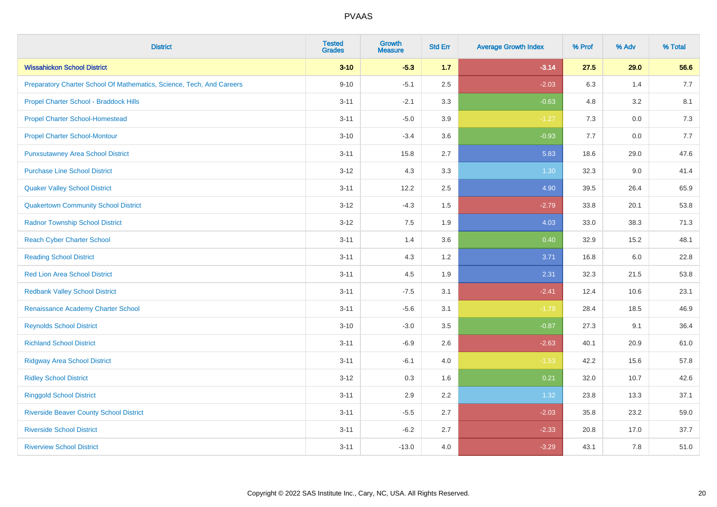| <b>District</b>                                                       | <b>Tested</b><br><b>Grades</b> | <b>Growth</b><br><b>Measure</b> | <b>Std Err</b> | <b>Average Growth Index</b> | % Prof | % Adv   | % Total |
|-----------------------------------------------------------------------|--------------------------------|---------------------------------|----------------|-----------------------------|--------|---------|---------|
| <b>Wissahickon School District</b>                                    | $3 - 10$                       | $-5.3$                          | 1.7            | $-3.14$                     | 27.5   | 29.0    | 56.6    |
| Preparatory Charter School Of Mathematics, Science, Tech, And Careers | $9 - 10$                       | $-5.1$                          | 2.5            | $-2.03$                     | 6.3    | 1.4     | 7.7     |
| Propel Charter School - Braddock Hills                                | $3 - 11$                       | $-2.1$                          | 3.3            | $-0.63$                     | 4.8    | 3.2     | 8.1     |
| <b>Propel Charter School-Homestead</b>                                | $3 - 11$                       | $-5.0$                          | 3.9            | $-1.27$                     | $7.3$  | $0.0\,$ | $7.3$   |
| <b>Propel Charter School-Montour</b>                                  | $3 - 10$                       | $-3.4$                          | 3.6            | $-0.93$                     | 7.7    | 0.0     | 7.7     |
| <b>Punxsutawney Area School District</b>                              | $3 - 11$                       | 15.8                            | 2.7            | 5.83                        | 18.6   | 29.0    | 47.6    |
| <b>Purchase Line School District</b>                                  | $3 - 12$                       | 4.3                             | 3.3            | 1.30                        | 32.3   | 9.0     | 41.4    |
| <b>Quaker Valley School District</b>                                  | $3 - 11$                       | 12.2                            | 2.5            | 4.90                        | 39.5   | 26.4    | 65.9    |
| <b>Quakertown Community School District</b>                           | $3 - 12$                       | $-4.3$                          | 1.5            | $-2.79$                     | 33.8   | 20.1    | 53.8    |
| <b>Radnor Township School District</b>                                | $3 - 12$                       | 7.5                             | 1.9            | 4.03                        | 33.0   | 38.3    | 71.3    |
| <b>Reach Cyber Charter School</b>                                     | $3 - 11$                       | 1.4                             | 3.6            | 0.40                        | 32.9   | 15.2    | 48.1    |
| <b>Reading School District</b>                                        | $3 - 11$                       | 4.3                             | 1.2            | 3.71                        | 16.8   | 6.0     | 22.8    |
| <b>Red Lion Area School District</b>                                  | $3 - 11$                       | 4.5                             | 1.9            | 2.31                        | 32.3   | 21.5    | 53.8    |
| <b>Redbank Valley School District</b>                                 | $3 - 11$                       | $-7.5$                          | 3.1            | $-2.41$                     | 12.4   | 10.6    | 23.1    |
| Renaissance Academy Charter School                                    | $3 - 11$                       | $-5.6$                          | 3.1            | $-1.79$                     | 28.4   | 18.5    | 46.9    |
| <b>Reynolds School District</b>                                       | $3 - 10$                       | $-3.0$                          | 3.5            | $-0.87$                     | 27.3   | 9.1     | 36.4    |
| <b>Richland School District</b>                                       | $3 - 11$                       | $-6.9$                          | 2.6            | $-2.63$                     | 40.1   | 20.9    | 61.0    |
| <b>Ridgway Area School District</b>                                   | $3 - 11$                       | $-6.1$                          | 4.0            | $-1.53$                     | 42.2   | 15.6    | 57.8    |
| <b>Ridley School District</b>                                         | $3 - 12$                       | 0.3                             | 1.6            | 0.21                        | 32.0   | 10.7    | 42.6    |
| <b>Ringgold School District</b>                                       | $3 - 11$                       | 2.9                             | 2.2            | 1.32                        | 23.8   | 13.3    | 37.1    |
| <b>Riverside Beaver County School District</b>                        | $3 - 11$                       | $-5.5$                          | 2.7            | $-2.03$                     | 35.8   | 23.2    | 59.0    |
| <b>Riverside School District</b>                                      | $3 - 11$                       | $-6.2$                          | 2.7            | $-2.33$                     | 20.8   | 17.0    | 37.7    |
| <b>Riverview School District</b>                                      | $3 - 11$                       | $-13.0$                         | 4.0            | $-3.29$                     | 43.1   | 7.8     | 51.0    |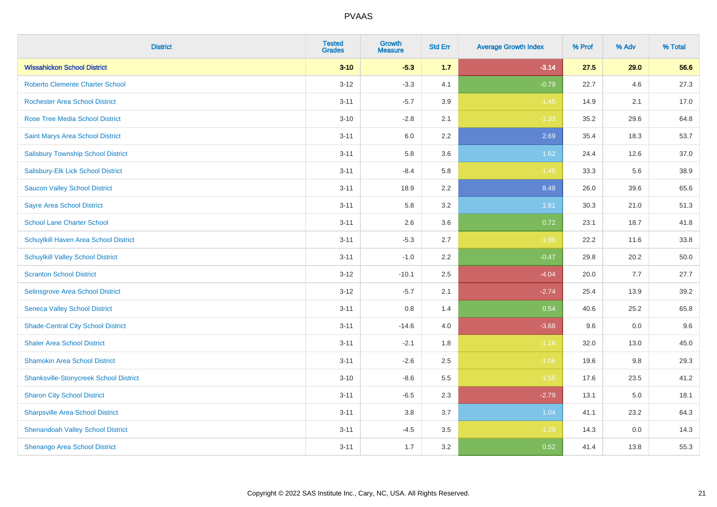| <b>District</b>                               | <b>Tested</b><br><b>Grades</b> | <b>Growth</b><br><b>Measure</b> | <b>Std Err</b> | <b>Average Growth Index</b> | % Prof | % Adv | % Total |
|-----------------------------------------------|--------------------------------|---------------------------------|----------------|-----------------------------|--------|-------|---------|
| <b>Wissahickon School District</b>            | $3 - 10$                       | $-5.3$                          | 1.7            | $-3.14$                     | 27.5   | 29.0  | 56.6    |
| <b>Roberto Clemente Charter School</b>        | $3 - 12$                       | $-3.3$                          | 4.1            | $-0.79$                     | 22.7   | 4.6   | 27.3    |
| <b>Rochester Area School District</b>         | $3 - 11$                       | $-5.7$                          | 3.9            | $-1.45$                     | 14.9   | 2.1   | 17.0    |
| <b>Rose Tree Media School District</b>        | $3 - 10$                       | $-2.8$                          | 2.1            | $-1.33$                     | 35.2   | 29.6  | 64.8    |
| Saint Marys Area School District              | $3 - 11$                       | 6.0                             | 2.2            | 2.69                        | 35.4   | 18.3  | 53.7    |
| <b>Salisbury Township School District</b>     | $3 - 11$                       | 5.8                             | 3.6            | 1.62                        | 24.4   | 12.6  | 37.0    |
| Salisbury-Elk Lick School District            | $3 - 11$                       | $-8.4$                          | 5.8            | $-1.45$                     | 33.3   | 5.6   | 38.9    |
| <b>Saucon Valley School District</b>          | $3 - 11$                       | 18.9                            | 2.2            | 8.48                        | 26.0   | 39.6  | 65.6    |
| <b>Sayre Area School District</b>             | $3 - 11$                       | 5.8                             | 3.2            | 1.81                        | 30.3   | 21.0  | 51.3    |
| <b>School Lane Charter School</b>             | $3 - 11$                       | 2.6                             | 3.6            | 0.72                        | 23.1   | 18.7  | 41.8    |
| Schuylkill Haven Area School District         | $3 - 11$                       | $-5.3$                          | 2.7            | $-1.96$                     | 22.2   | 11.6  | 33.8    |
| <b>Schuylkill Valley School District</b>      | $3 - 11$                       | $-1.0$                          | 2.2            | $-0.47$                     | 29.8   | 20.2  | 50.0    |
| <b>Scranton School District</b>               | $3 - 12$                       | $-10.1$                         | 2.5            | $-4.04$                     | 20.0   | 7.7   | 27.7    |
| Selinsgrove Area School District              | $3-12$                         | $-5.7$                          | 2.1            | $-2.74$                     | 25.4   | 13.9  | 39.2    |
| <b>Seneca Valley School District</b>          | $3 - 11$                       | 0.8                             | 1.4            | 0.54                        | 40.6   | 25.2  | 65.8    |
| <b>Shade-Central City School District</b>     | $3 - 11$                       | $-14.6$                         | 4.0            | $-3.68$                     | 9.6    | 0.0   | 9.6     |
| <b>Shaler Area School District</b>            | $3 - 11$                       | $-2.1$                          | 1.8            | $-1.18$                     | 32.0   | 13.0  | 45.0    |
| <b>Shamokin Area School District</b>          | $3 - 11$                       | $-2.6$                          | 2.5            | $-1.06$                     | 19.6   | 9.8   | 29.3    |
| <b>Shanksville-Stonycreek School District</b> | $3 - 10$                       | $-8.6$                          | 5.5            | $-1.55$                     | 17.6   | 23.5  | 41.2    |
| <b>Sharon City School District</b>            | $3 - 11$                       | $-6.5$                          | 2.3            | $-2.79$                     | 13.1   | 5.0   | 18.1    |
| <b>Sharpsville Area School District</b>       | $3 - 11$                       | 3.8                             | 3.7            | 1.04                        | 41.1   | 23.2  | 64.3    |
| <b>Shenandoah Valley School District</b>      | $3 - 11$                       | $-4.5$                          | 3.5            | $-1.29$                     | 14.3   | 0.0   | 14.3    |
| Shenango Area School District                 | $3 - 11$                       | 1.7                             | 3.2            | 0.52                        | 41.4   | 13.8  | 55.3    |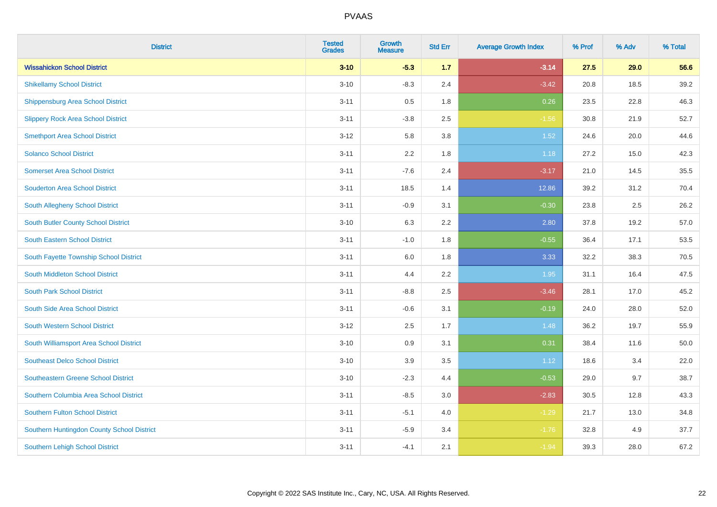| <b>District</b>                            | <b>Tested</b><br><b>Grades</b> | <b>Growth</b><br><b>Measure</b> | <b>Std Err</b> | <b>Average Growth Index</b> | % Prof | % Adv | % Total |
|--------------------------------------------|--------------------------------|---------------------------------|----------------|-----------------------------|--------|-------|---------|
| <b>Wissahickon School District</b>         | $3 - 10$                       | $-5.3$                          | 1.7            | $-3.14$                     | 27.5   | 29.0  | 56.6    |
| <b>Shikellamy School District</b>          | $3 - 10$                       | $-8.3$                          | 2.4            | $-3.42$                     | 20.8   | 18.5  | 39.2    |
| Shippensburg Area School District          | $3 - 11$                       | 0.5                             | 1.8            | 0.26                        | 23.5   | 22.8  | 46.3    |
| <b>Slippery Rock Area School District</b>  | $3 - 11$                       | $-3.8$                          | 2.5            | $-1.56$                     | 30.8   | 21.9  | 52.7    |
| <b>Smethport Area School District</b>      | $3-12$                         | 5.8                             | 3.8            | 1.52                        | 24.6   | 20.0  | 44.6    |
| <b>Solanco School District</b>             | $3 - 11$                       | 2.2                             | 1.8            | 1.18                        | 27.2   | 15.0  | 42.3    |
| <b>Somerset Area School District</b>       | $3 - 11$                       | $-7.6$                          | 2.4            | $-3.17$                     | 21.0   | 14.5  | 35.5    |
| <b>Souderton Area School District</b>      | $3 - 11$                       | 18.5                            | 1.4            | 12.86                       | 39.2   | 31.2  | 70.4    |
| South Allegheny School District            | $3 - 11$                       | $-0.9$                          | 3.1            | $-0.30$                     | 23.8   | 2.5   | 26.2    |
| South Butler County School District        | $3 - 10$                       | 6.3                             | 2.2            | 2.80                        | 37.8   | 19.2  | 57.0    |
| <b>South Eastern School District</b>       | $3 - 11$                       | $-1.0$                          | 1.8            | $-0.55$                     | 36.4   | 17.1  | 53.5    |
| South Fayette Township School District     | $3 - 11$                       | 6.0                             | 1.8            | 3.33                        | 32.2   | 38.3  | 70.5    |
| South Middleton School District            | $3 - 11$                       | 4.4                             | 2.2            | 1.95                        | 31.1   | 16.4  | 47.5    |
| <b>South Park School District</b>          | $3 - 11$                       | $-8.8$                          | 2.5            | $-3.46$                     | 28.1   | 17.0  | 45.2    |
| South Side Area School District            | $3 - 11$                       | $-0.6$                          | 3.1            | $-0.19$                     | 24.0   | 28.0  | 52.0    |
| South Western School District              | $3 - 12$                       | 2.5                             | 1.7            | 1.48                        | 36.2   | 19.7  | 55.9    |
| South Williamsport Area School District    | $3 - 10$                       | 0.9                             | 3.1            | 0.31                        | 38.4   | 11.6  | 50.0    |
| <b>Southeast Delco School District</b>     | $3 - 10$                       | 3.9                             | 3.5            | 1.12                        | 18.6   | 3.4   | 22.0    |
| <b>Southeastern Greene School District</b> | $3 - 10$                       | $-2.3$                          | 4.4            | $-0.53$                     | 29.0   | 9.7   | 38.7    |
| Southern Columbia Area School District     | $3 - 11$                       | $-8.5$                          | 3.0            | $-2.83$                     | 30.5   | 12.8  | 43.3    |
| <b>Southern Fulton School District</b>     | $3 - 11$                       | $-5.1$                          | 4.0            | $-1.29$                     | 21.7   | 13.0  | 34.8    |
| Southern Huntingdon County School District | $3 - 11$                       | $-5.9$                          | 3.4            | $-1.76$                     | 32.8   | 4.9   | 37.7    |
| <b>Southern Lehigh School District</b>     | $3 - 11$                       | $-4.1$                          | 2.1            | $-1.94$                     | 39.3   | 28.0  | 67.2    |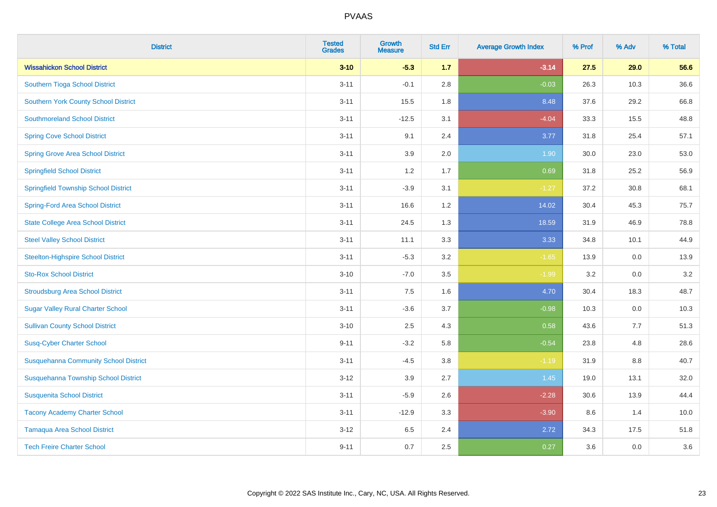| <b>District</b>                              | <b>Tested</b><br><b>Grades</b> | <b>Growth</b><br><b>Measure</b> | <b>Std Err</b> | <b>Average Growth Index</b> | % Prof | % Adv | % Total |
|----------------------------------------------|--------------------------------|---------------------------------|----------------|-----------------------------|--------|-------|---------|
| <b>Wissahickon School District</b>           | $3 - 10$                       | $-5.3$                          | 1.7            | $-3.14$                     | 27.5   | 29.0  | 56.6    |
| Southern Tioga School District               | $3 - 11$                       | $-0.1$                          | 2.8            | $-0.03$                     | 26.3   | 10.3  | 36.6    |
| <b>Southern York County School District</b>  | $3 - 11$                       | 15.5                            | 1.8            | 8.48                        | 37.6   | 29.2  | 66.8    |
| <b>Southmoreland School District</b>         | $3 - 11$                       | $-12.5$                         | 3.1            | $-4.04$                     | 33.3   | 15.5  | 48.8    |
| <b>Spring Cove School District</b>           | $3 - 11$                       | 9.1                             | 2.4            | 3.77                        | 31.8   | 25.4  | 57.1    |
| <b>Spring Grove Area School District</b>     | $3 - 11$                       | 3.9                             | 2.0            | 1.90                        | 30.0   | 23.0  | 53.0    |
| <b>Springfield School District</b>           | $3 - 11$                       | 1.2                             | 1.7            | 0.69                        | 31.8   | 25.2  | 56.9    |
| <b>Springfield Township School District</b>  | $3 - 11$                       | $-3.9$                          | 3.1            | $-1.27$                     | 37.2   | 30.8  | 68.1    |
| <b>Spring-Ford Area School District</b>      | $3 - 11$                       | 16.6                            | 1.2            | 14.02                       | 30.4   | 45.3  | 75.7    |
| <b>State College Area School District</b>    | $3 - 11$                       | 24.5                            | 1.3            | 18.59                       | 31.9   | 46.9  | 78.8    |
| <b>Steel Valley School District</b>          | $3 - 11$                       | 11.1                            | 3.3            | 3.33                        | 34.8   | 10.1  | 44.9    |
| <b>Steelton-Highspire School District</b>    | $3 - 11$                       | $-5.3$                          | 3.2            | $-1.65$                     | 13.9   | 0.0   | 13.9    |
| <b>Sto-Rox School District</b>               | $3 - 10$                       | $-7.0$                          | 3.5            | $-1.99$                     | 3.2    | 0.0   | 3.2     |
| <b>Stroudsburg Area School District</b>      | $3 - 11$                       | $7.5\,$                         | 1.6            | 4.70                        | 30.4   | 18.3  | 48.7    |
| <b>Sugar Valley Rural Charter School</b>     | $3 - 11$                       | $-3.6$                          | 3.7            | $-0.98$                     | 10.3   | 0.0   | 10.3    |
| <b>Sullivan County School District</b>       | $3 - 10$                       | 2.5                             | 4.3            | 0.58                        | 43.6   | 7.7   | 51.3    |
| <b>Susq-Cyber Charter School</b>             | $9 - 11$                       | $-3.2$                          | 5.8            | $-0.54$                     | 23.8   | 4.8   | 28.6    |
| <b>Susquehanna Community School District</b> | $3 - 11$                       | $-4.5$                          | 3.8            | $-1.19$                     | 31.9   | 8.8   | 40.7    |
| Susquehanna Township School District         | $3 - 12$                       | 3.9                             | 2.7            | $1.45$                      | 19.0   | 13.1  | 32.0    |
| <b>Susquenita School District</b>            | $3 - 11$                       | $-5.9$                          | 2.6            | $-2.28$                     | 30.6   | 13.9  | 44.4    |
| <b>Tacony Academy Charter School</b>         | $3 - 11$                       | $-12.9$                         | 3.3            | $-3.90$                     | 8.6    | 1.4   | 10.0    |
| <b>Tamaqua Area School District</b>          | $3 - 12$                       | 6.5                             | 2.4            | 2.72                        | 34.3   | 17.5  | 51.8    |
| <b>Tech Freire Charter School</b>            | $9 - 11$                       | 0.7                             | 2.5            | 0.27                        | 3.6    | 0.0   | 3.6     |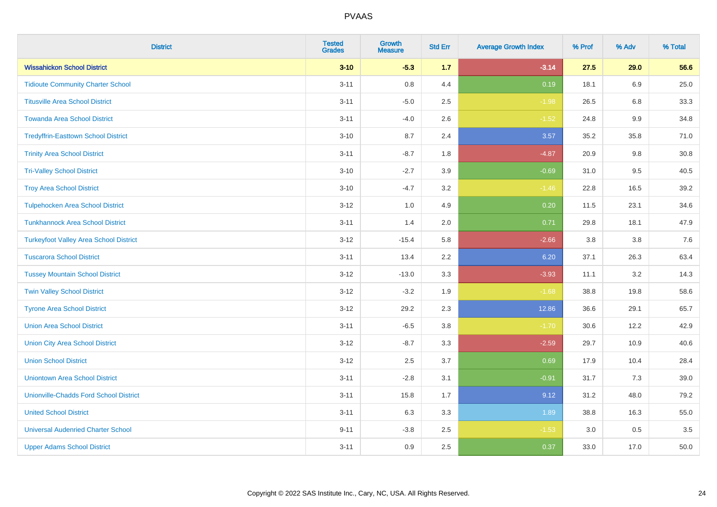| <b>District</b>                               | <b>Tested</b><br><b>Grades</b> | Growth<br><b>Measure</b> | <b>Std Err</b> | <b>Average Growth Index</b> | % Prof | % Adv   | % Total |
|-----------------------------------------------|--------------------------------|--------------------------|----------------|-----------------------------|--------|---------|---------|
| <b>Wissahickon School District</b>            | $3 - 10$                       | $-5.3$                   | 1.7            | $-3.14$                     | 27.5   | 29.0    | 56.6    |
| <b>Tidioute Community Charter School</b>      | $3 - 11$                       | 0.8                      | 4.4            | 0.19                        | 18.1   | 6.9     | 25.0    |
| <b>Titusville Area School District</b>        | $3 - 11$                       | $-5.0$                   | 2.5            | $-1.98$                     | 26.5   | 6.8     | 33.3    |
| <b>Towanda Area School District</b>           | $3 - 11$                       | $-4.0$                   | 2.6            | $-1.52$                     | 24.8   | $9.9\,$ | 34.8    |
| <b>Tredyffrin-Easttown School District</b>    | $3 - 10$                       | 8.7                      | 2.4            | 3.57                        | 35.2   | 35.8    | 71.0    |
| <b>Trinity Area School District</b>           | $3 - 11$                       | $-8.7$                   | 1.8            | $-4.87$                     | 20.9   | 9.8     | 30.8    |
| <b>Tri-Valley School District</b>             | $3 - 10$                       | $-2.7$                   | 3.9            | $-0.69$                     | 31.0   | 9.5     | 40.5    |
| <b>Troy Area School District</b>              | $3 - 10$                       | $-4.7$                   | 3.2            | $-1.46$                     | 22.8   | 16.5    | 39.2    |
| <b>Tulpehocken Area School District</b>       | $3 - 12$                       | 1.0                      | 4.9            | 0.20                        | 11.5   | 23.1    | 34.6    |
| <b>Tunkhannock Area School District</b>       | $3 - 11$                       | 1.4                      | 2.0            | 0.71                        | 29.8   | 18.1    | 47.9    |
| <b>Turkeyfoot Valley Area School District</b> | $3 - 12$                       | $-15.4$                  | 5.8            | $-2.66$                     | 3.8    | 3.8     | 7.6     |
| <b>Tuscarora School District</b>              | $3 - 11$                       | 13.4                     | 2.2            | 6.20                        | 37.1   | 26.3    | 63.4    |
| <b>Tussey Mountain School District</b>        | $3 - 12$                       | $-13.0$                  | 3.3            | $-3.93$                     | 11.1   | $3.2\,$ | 14.3    |
| <b>Twin Valley School District</b>            | $3 - 12$                       | $-3.2$                   | 1.9            | $-1.68$                     | 38.8   | 19.8    | 58.6    |
| <b>Tyrone Area School District</b>            | $3 - 12$                       | 29.2                     | 2.3            | 12.86                       | 36.6   | 29.1    | 65.7    |
| <b>Union Area School District</b>             | $3 - 11$                       | $-6.5$                   | 3.8            | $-1.70$                     | 30.6   | 12.2    | 42.9    |
| <b>Union City Area School District</b>        | $3 - 12$                       | $-8.7$                   | 3.3            | $-2.59$                     | 29.7   | 10.9    | 40.6    |
| <b>Union School District</b>                  | $3 - 12$                       | 2.5                      | 3.7            | 0.69                        | 17.9   | 10.4    | 28.4    |
| <b>Uniontown Area School District</b>         | $3 - 11$                       | $-2.8$                   | 3.1            | $-0.91$                     | 31.7   | 7.3     | 39.0    |
| <b>Unionville-Chadds Ford School District</b> | $3 - 11$                       | 15.8                     | 1.7            | 9.12                        | 31.2   | 48.0    | 79.2    |
| <b>United School District</b>                 | $3 - 11$                       | 6.3                      | 3.3            | 1.89                        | 38.8   | 16.3    | 55.0    |
| <b>Universal Audenried Charter School</b>     | $9 - 11$                       | $-3.8$                   | 2.5            | $-1.53$                     | 3.0    | 0.5     | 3.5     |
| <b>Upper Adams School District</b>            | $3 - 11$                       | 0.9                      | 2.5            | 0.37                        | 33.0   | 17.0    | 50.0    |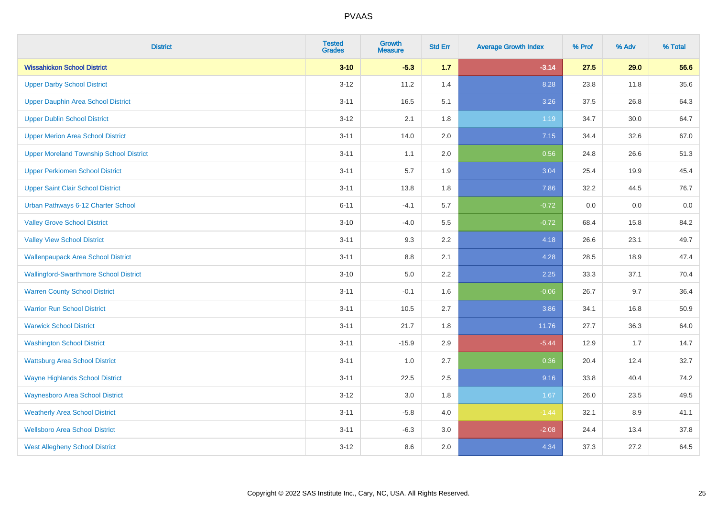| <b>District</b>                                | <b>Tested</b><br><b>Grades</b> | <b>Growth</b><br><b>Measure</b> | <b>Std Err</b> | <b>Average Growth Index</b> | % Prof | % Adv | % Total |
|------------------------------------------------|--------------------------------|---------------------------------|----------------|-----------------------------|--------|-------|---------|
| <b>Wissahickon School District</b>             | $3 - 10$                       | $-5.3$                          | 1.7            | $-3.14$                     | 27.5   | 29.0  | 56.6    |
| <b>Upper Darby School District</b>             | $3 - 12$                       | 11.2                            | 1.4            | 8.28                        | 23.8   | 11.8  | 35.6    |
| <b>Upper Dauphin Area School District</b>      | $3 - 11$                       | 16.5                            | 5.1            | 3.26                        | 37.5   | 26.8  | 64.3    |
| <b>Upper Dublin School District</b>            | $3 - 12$                       | 2.1                             | 1.8            | 1.19                        | 34.7   | 30.0  | 64.7    |
| <b>Upper Merion Area School District</b>       | $3 - 11$                       | 14.0                            | 2.0            | 7.15                        | 34.4   | 32.6  | 67.0    |
| <b>Upper Moreland Township School District</b> | $3 - 11$                       | 1.1                             | 2.0            | 0.56                        | 24.8   | 26.6  | 51.3    |
| <b>Upper Perkiomen School District</b>         | $3 - 11$                       | 5.7                             | 1.9            | 3.04                        | 25.4   | 19.9  | 45.4    |
| <b>Upper Saint Clair School District</b>       | $3 - 11$                       | 13.8                            | 1.8            | 7.86                        | 32.2   | 44.5  | 76.7    |
| Urban Pathways 6-12 Charter School             | $6 - 11$                       | $-4.1$                          | 5.7            | $-0.72$                     | 0.0    | 0.0   | 0.0     |
| <b>Valley Grove School District</b>            | $3 - 10$                       | $-4.0$                          | 5.5            | $-0.72$                     | 68.4   | 15.8  | 84.2    |
| <b>Valley View School District</b>             | $3 - 11$                       | 9.3                             | 2.2            | 4.18                        | 26.6   | 23.1  | 49.7    |
| <b>Wallenpaupack Area School District</b>      | $3 - 11$                       | $8.8\,$                         | 2.1            | 4.28                        | 28.5   | 18.9  | 47.4    |
| <b>Wallingford-Swarthmore School District</b>  | $3 - 10$                       | 5.0                             | 2.2            | 2.25                        | 33.3   | 37.1  | 70.4    |
| <b>Warren County School District</b>           | $3 - 11$                       | $-0.1$                          | 1.6            | $-0.06$                     | 26.7   | 9.7   | 36.4    |
| <b>Warrior Run School District</b>             | $3 - 11$                       | 10.5                            | 2.7            | 3.86                        | 34.1   | 16.8  | 50.9    |
| <b>Warwick School District</b>                 | $3 - 11$                       | 21.7                            | 1.8            | 11.76                       | 27.7   | 36.3  | 64.0    |
| <b>Washington School District</b>              | $3 - 11$                       | $-15.9$                         | 2.9            | $-5.44$                     | 12.9   | 1.7   | 14.7    |
| <b>Wattsburg Area School District</b>          | $3 - 11$                       | 1.0                             | 2.7            | 0.36                        | 20.4   | 12.4  | 32.7    |
| <b>Wayne Highlands School District</b>         | $3 - 11$                       | 22.5                            | 2.5            | 9.16                        | 33.8   | 40.4  | 74.2    |
| <b>Waynesboro Area School District</b>         | $3-12$                         | $3.0\,$                         | 1.8            | 1.67                        | 26.0   | 23.5  | 49.5    |
| <b>Weatherly Area School District</b>          | $3 - 11$                       | $-5.8$                          | 4.0            | $-1.44$                     | 32.1   | 8.9   | 41.1    |
| <b>Wellsboro Area School District</b>          | $3 - 11$                       | $-6.3$                          | 3.0            | $-2.08$                     | 24.4   | 13.4  | 37.8    |
| <b>West Allegheny School District</b>          | $3-12$                         | 8.6                             | 2.0            | 4.34                        | 37.3   | 27.2  | 64.5    |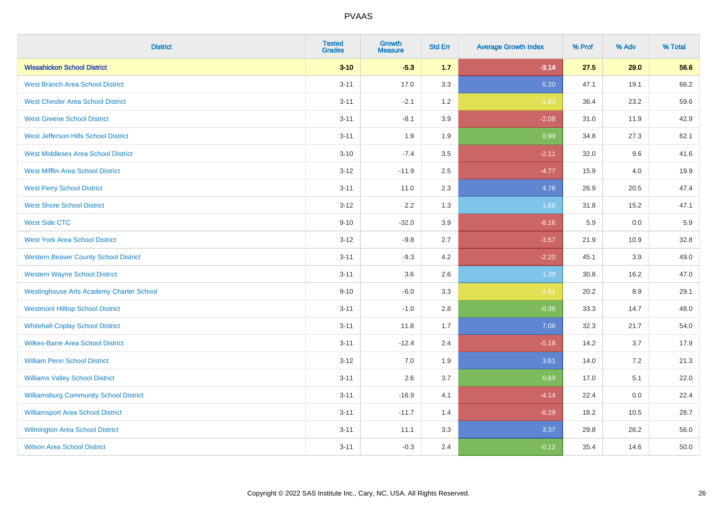| <b>District</b>                                 | <b>Tested</b><br><b>Grades</b> | <b>Growth</b><br><b>Measure</b> | <b>Std Err</b> | <b>Average Growth Index</b> | % Prof | % Adv | % Total |
|-------------------------------------------------|--------------------------------|---------------------------------|----------------|-----------------------------|--------|-------|---------|
| <b>Wissahickon School District</b>              | $3 - 10$                       | $-5.3$                          | 1.7            | $-3.14$                     | 27.5   | 29.0  | 56.6    |
| <b>West Branch Area School District</b>         | $3 - 11$                       | 17.0                            | 3.3            | 5.20                        | 47.1   | 19.1  | 66.2    |
| <b>West Chester Area School District</b>        | $3 - 11$                       | $-2.1$                          | 1.2            | $-1.83$                     | 36.4   | 23.2  | 59.6    |
| <b>West Greene School District</b>              | $3 - 11$                       | $-8.1$                          | 3.9            | $-2.08$                     | 31.0   | 11.9  | 42.9    |
| West Jefferson Hills School District            | $3 - 11$                       | 1.9                             | 1.9            | 0.99                        | 34.8   | 27.3  | 62.1    |
| <b>West Middlesex Area School District</b>      | $3 - 10$                       | $-7.4$                          | 3.5            | $-2.11$                     | 32.0   | 9.6   | 41.6    |
| <b>West Mifflin Area School District</b>        | $3 - 12$                       | $-11.9$                         | 2.5            | $-4.77$                     | 15.9   | 4.0   | 19.9    |
| <b>West Perry School District</b>               | $3 - 11$                       | 11.0                            | 2.3            | 4.76                        | 26.9   | 20.5  | 47.4    |
| <b>West Shore School District</b>               | $3 - 12$                       | 2.2                             | 1.3            | 1.68                        | 31.8   | 15.2  | 47.1    |
| <b>West Side CTC</b>                            | $9 - 10$                       | $-32.0$                         | 3.9            | $-8.16$                     | 5.9    | 0.0   | 5.9     |
| <b>West York Area School District</b>           | $3 - 12$                       | $-9.8$                          | 2.7            | $-3.57$                     | 21.9   | 10.9  | 32.8    |
| <b>Western Beaver County School District</b>    | $3 - 11$                       | $-9.3$                          | 4.2            | $-2.20$                     | 45.1   | 3.9   | 49.0    |
| <b>Western Wayne School District</b>            | $3 - 11$                       | 3.6                             | 2.6            | 1.39                        | 30.8   | 16.2  | 47.0    |
| <b>Westinghouse Arts Academy Charter School</b> | $9 - 10$                       | $-6.0$                          | 3.3            | $-1.81$                     | 20.2   | 8.9   | 29.1    |
| <b>Westmont Hilltop School District</b>         | $3 - 11$                       | $-1.0$                          | 2.8            | $-0.36$                     | 33.3   | 14.7  | 48.0    |
| <b>Whitehall-Coplay School District</b>         | $3 - 11$                       | 11.8                            | 1.7            | 7.06                        | 32.3   | 21.7  | 54.0    |
| <b>Wilkes-Barre Area School District</b>        | $3 - 11$                       | $-12.4$                         | 2.4            | $-5.18$                     | 14.2   | 3.7   | 17.9    |
| <b>William Penn School District</b>             | $3 - 12$                       | 7.0                             | 1.9            | 3.61                        | 14.0   | 7.2   | 21.3    |
| <b>Williams Valley School District</b>          | $3 - 11$                       | 2.6                             | 3.7            | 0.69                        | 17.0   | 5.1   | 22.0    |
| <b>Williamsburg Community School District</b>   | $3 - 11$                       | $-16.9$                         | 4.1            | $-4.14$                     | 22.4   | 0.0   | 22.4    |
| <b>Williamsport Area School District</b>        | $3 - 11$                       | $-11.7$                         | 1.4            | $-8.29$                     | 18.2   | 10.5  | 28.7    |
| Wilmington Area School District                 | $3 - 11$                       | 11.1                            | 3.3            | 3.37                        | 29.8   | 26.2  | 56.0    |
| <b>Wilson Area School District</b>              | $3 - 11$                       | $-0.3$                          | 2.4            | $-0.12$                     | 35.4   | 14.6  | 50.0    |